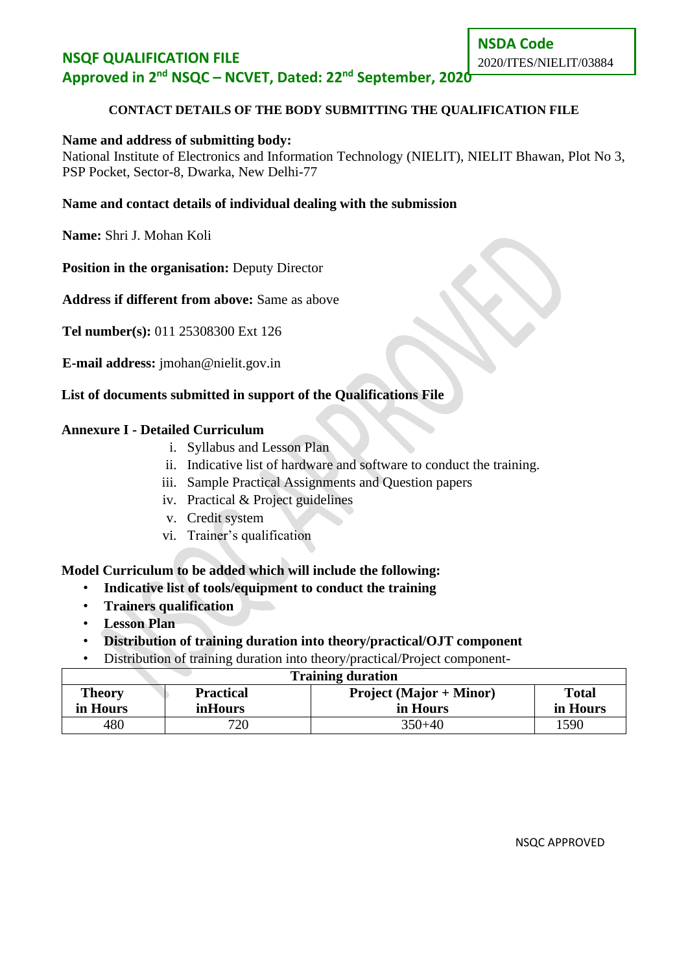### **NSQF QUALIFICATION FILE Approved in 2nd NSQC – NCVET, Dated: 22nd September, 2020**

#### **CONTACT DETAILS OF THE BODY SUBMITTING THE QUALIFICATION FILE**

#### **Name and address of submitting body:**

National Institute of Electronics and Information Technology (NIELIT), NIELIT Bhawan, Plot No 3, PSP Pocket, Sector-8, Dwarka, New Delhi-77

#### **Name and contact details of individual dealing with the submission**

**Name:** Shri J. Mohan Koli

**Position in the organisation:** Deputy Director

**Address if different from above:** Same as above

**Tel number(s):** 011 25308300 Ext 126

**E-mail address:** [jmohan@nielit.gov.in](mailto:jmohan@nielit.gov.in)

#### **List of documents submitted in support of the Qualifications File**

#### **Annexure I - Detailed Curriculum**

- i. Syllabus and Lesson Plan
- ii. Indicative list of hardware and software to conduct the training.
- iii. Sample Practical Assignments and Question papers
- iv. Practical & Project guidelines
- v. Credit system
- vi. Trainer's qualification

#### **Model Curriculum to be added which will include the following:**

- **Indicative list of tools/equipment to conduct the training**
- **Trainers qualification**
- **Lesson Plan**
- **Distribution of training duration into theory/practical/OJT component**
- Distribution of training duration into theory/practical/Project component-

| <b>Training duration</b>                                                     |                |            |          |  |  |
|------------------------------------------------------------------------------|----------------|------------|----------|--|--|
| <b>Project (Major + Minor)</b><br><b>Practical</b><br>Theory<br><b>Total</b> |                |            |          |  |  |
| in Hours                                                                     | <i>inHours</i> | in Hours   | in Hours |  |  |
| 480                                                                          | 720            | $350 + 40$ | 1590     |  |  |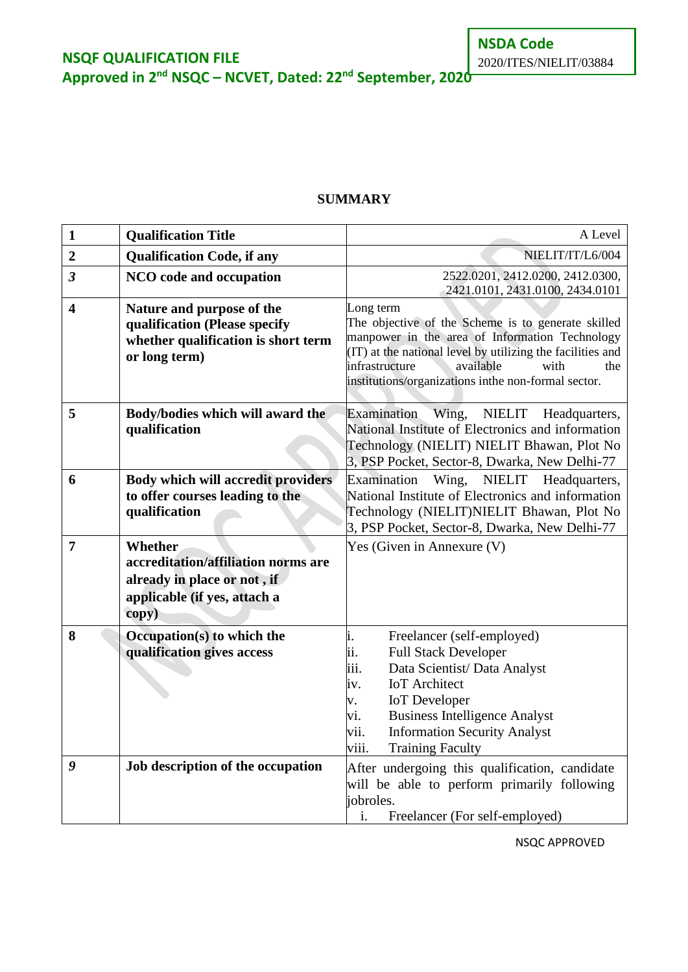**Approved in 2nd NSQC – NCVET, Dated: 22nd September, 2020**

#### **SUMMARY**

| $\mathbf{1}$            | <b>Qualification Title</b>                                                                                                    | A Level                                                                                                                                                                                                                                                                                                       |
|-------------------------|-------------------------------------------------------------------------------------------------------------------------------|---------------------------------------------------------------------------------------------------------------------------------------------------------------------------------------------------------------------------------------------------------------------------------------------------------------|
| $\boldsymbol{2}$        | <b>Qualification Code, if any</b>                                                                                             | NIELIT/IT/L6/004                                                                                                                                                                                                                                                                                              |
| $\overline{\mathbf{3}}$ | NCO code and occupation                                                                                                       | 2522.0201, 2412.0200, 2412.0300,<br>2421.0101, 2431.0100, 2434.0101                                                                                                                                                                                                                                           |
| $\overline{\mathbf{4}}$ | Nature and purpose of the<br>qualification (Please specify<br>whether qualification is short term<br>or long term)            | Long term<br>The objective of the Scheme is to generate skilled<br>manpower in the area of Information Technology<br>(IT) at the national level by utilizing the facilities and<br>infrastructure<br>available<br>with<br>the<br>institutions/organizations inthe non-formal sector.                          |
| 5                       | Body/bodies which will award the<br>qualification                                                                             | NIELIT<br><b>Examination</b><br>Wing,<br>Headquarters,<br>National Institute of Electronics and information<br>Technology (NIELIT) NIELIT Bhawan, Plot No<br>3, PSP Pocket, Sector-8, Dwarka, New Delhi-77                                                                                                    |
| 6                       | Body which will accredit providers<br>to offer courses leading to the<br>qualification                                        | Wing,<br>NIELIT Headquarters,<br>Examination<br>National Institute of Electronics and information<br>Technology (NIELIT)NIELIT Bhawan, Plot No<br>3, PSP Pocket, Sector-8, Dwarka, New Delhi-77                                                                                                               |
| $\overline{7}$          | <b>Whether</b><br>accreditation/affiliation norms are<br>already in place or not, if<br>applicable (if yes, attach a<br>copy) | Yes (Given in Annexure (V)                                                                                                                                                                                                                                                                                    |
| 8                       | Occupation(s) to which the<br>qualification gives access                                                                      | i.<br>Freelancer (self-employed)<br>ii.<br><b>Full Stack Developer</b><br>iii.<br>Data Scientist/ Data Analyst<br><b>IoT</b> Architect<br>iv.<br><b>IoT</b> Developer<br>V.<br><b>Business Intelligence Analyst</b><br>vi.<br><b>Information Security Analyst</b><br>vii.<br>viii.<br><b>Training Faculty</b> |
| 9                       | Job description of the occupation                                                                                             | After undergoing this qualification, candidate<br>will be able to perform primarily following<br>jobroles.<br>i.<br>Freelancer (For self-employed)                                                                                                                                                            |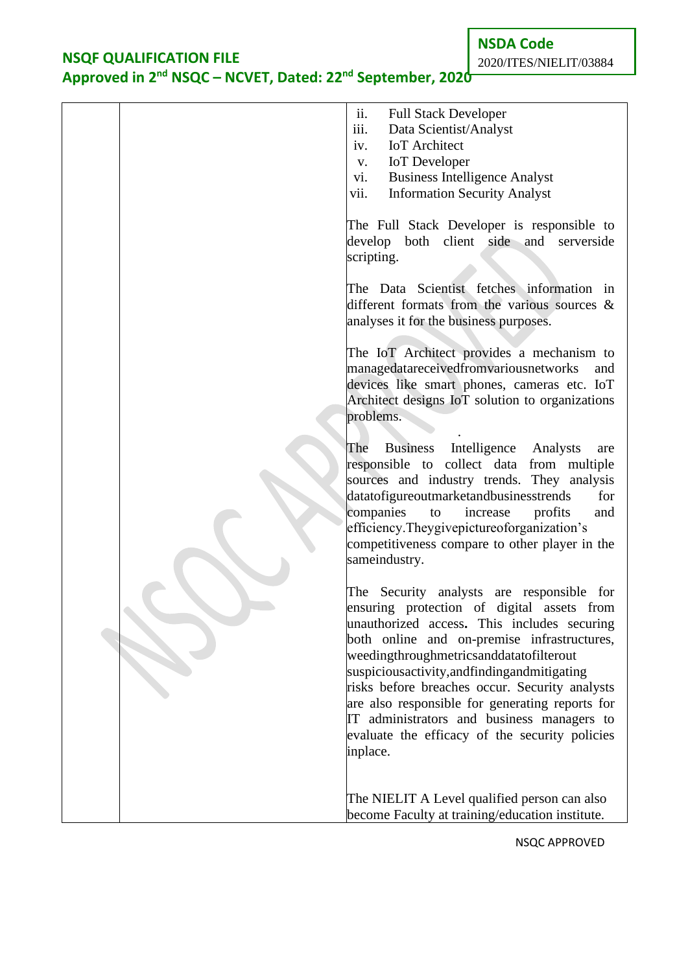# **Approved in 2nd NSQC – NCVET, Dated: 22nd September, 2020**

**NSDA Code** 2020/ITES/NIELIT/03884

|  | ii.<br><b>Full Stack Developer</b><br>iii.<br>Data Scientist/Analyst                                                                                                                                                                                                                                                                                                                                                                                                                                 |
|--|------------------------------------------------------------------------------------------------------------------------------------------------------------------------------------------------------------------------------------------------------------------------------------------------------------------------------------------------------------------------------------------------------------------------------------------------------------------------------------------------------|
|  | <b>IoT</b> Architect<br>iv.                                                                                                                                                                                                                                                                                                                                                                                                                                                                          |
|  | <b>IoT</b> Developer<br>V.                                                                                                                                                                                                                                                                                                                                                                                                                                                                           |
|  | <b>Business Intelligence Analyst</b><br>vi.                                                                                                                                                                                                                                                                                                                                                                                                                                                          |
|  | vii.<br><b>Information Security Analyst</b>                                                                                                                                                                                                                                                                                                                                                                                                                                                          |
|  | The Full Stack Developer is responsible to<br>develop both client side and serverside<br>scripting.<br>The Data Scientist fetches information in                                                                                                                                                                                                                                                                                                                                                     |
|  | different formats from the various sources $\&$<br>analyses it for the business purposes.                                                                                                                                                                                                                                                                                                                                                                                                            |
|  | The IoT Architect provides a mechanism to<br>managedatareceivedfromvariousnetworks<br>and<br>devices like smart phones, cameras etc. IoT<br>Architect designs IoT solution to organizations<br>problems.                                                                                                                                                                                                                                                                                             |
|  | Business Intelligence<br>The<br>Analysts<br>are<br>responsible to collect data from multiple<br>sources and industry trends. They analysis<br>datatofigureoutmarketandbusinesstrends<br>for<br>companies<br>increase<br>profits<br>to<br>and<br>efficiency. They givepicture of organization's<br>competitiveness compare to other player in the<br>sameindustry.                                                                                                                                    |
|  | The Security analysts are responsible for<br>ensuring protection of digital assets from<br>unauthorized access. This includes securing<br>both online and on-premise infrastructures,<br>weedingthroughmetricsanddatatofilterout<br>suspicious activity, and finding and mitigating<br>risks before breaches occur. Security analysts<br>are also responsible for generating reports for<br>IT administrators and business managers to<br>evaluate the efficacy of the security policies<br>inplace. |
|  | The NIELIT A Level qualified person can also<br>become Faculty at training/education institute.                                                                                                                                                                                                                                                                                                                                                                                                      |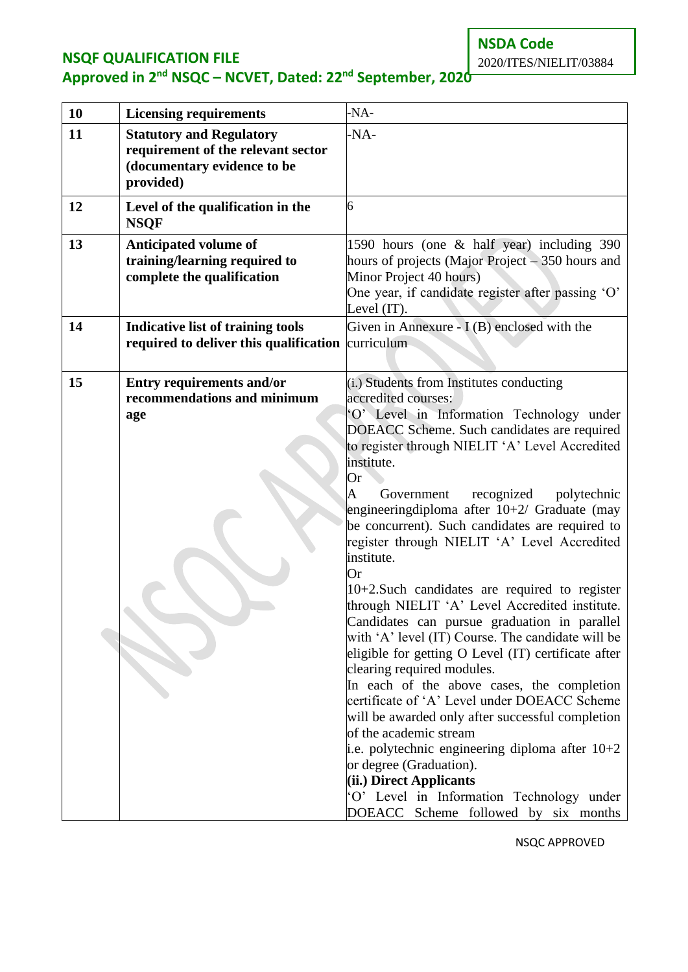# **Approved in 2nd NSQC – NCVET, Dated: 22nd September, 2020**

2020/ITES/NIELIT/03884

| 10 | <b>Licensing requirements</b>                                                                                     | -NA-                                                                                                                                                                                                                                                                                                                                                                                                                                                                                                                                                                                                                                                                                                                                                                                                                                                                                                                                                                                                                                                                                                                                     |
|----|-------------------------------------------------------------------------------------------------------------------|------------------------------------------------------------------------------------------------------------------------------------------------------------------------------------------------------------------------------------------------------------------------------------------------------------------------------------------------------------------------------------------------------------------------------------------------------------------------------------------------------------------------------------------------------------------------------------------------------------------------------------------------------------------------------------------------------------------------------------------------------------------------------------------------------------------------------------------------------------------------------------------------------------------------------------------------------------------------------------------------------------------------------------------------------------------------------------------------------------------------------------------|
| 11 | <b>Statutory and Regulatory</b><br>requirement of the relevant sector<br>(documentary evidence to be<br>provided) | -NA-                                                                                                                                                                                                                                                                                                                                                                                                                                                                                                                                                                                                                                                                                                                                                                                                                                                                                                                                                                                                                                                                                                                                     |
| 12 | Level of the qualification in the<br><b>NSQF</b>                                                                  | 6                                                                                                                                                                                                                                                                                                                                                                                                                                                                                                                                                                                                                                                                                                                                                                                                                                                                                                                                                                                                                                                                                                                                        |
| 13 | <b>Anticipated volume of</b><br>training/learning required to<br>complete the qualification                       | 1590 hours (one & half year) including 390<br>hours of projects (Major Project – 350 hours and<br>Minor Project 40 hours)<br>One year, if candidate register after passing 'O'<br>Level (IT).                                                                                                                                                                                                                                                                                                                                                                                                                                                                                                                                                                                                                                                                                                                                                                                                                                                                                                                                            |
| 14 | <b>Indicative list of training tools</b><br>required to deliver this qualification                                | Given in Annexure - $I(B)$ enclosed with the<br>curriculum                                                                                                                                                                                                                                                                                                                                                                                                                                                                                                                                                                                                                                                                                                                                                                                                                                                                                                                                                                                                                                                                               |
| 15 | <b>Entry requirements and/or</b><br>recommendations and minimum<br>age                                            | (i.) Students from Institutes conducting<br>accredited courses:<br>'O' Level in Information Technology under<br>DOEACC Scheme. Such candidates are required<br>to register through NIELIT 'A' Level Accredited<br>institute.<br>Or<br>recognized<br>Government<br>polytechnic<br>A<br>engineering diploma after $10+2$ Graduate (may<br>be concurrent). Such candidates are required to<br>register through NIELIT 'A' Level Accredited<br>institute.<br>Or<br>$10+2$ . Such candidates are required to register<br>through NIELIT 'A' Level Accredited institute.<br>Candidates can pursue graduation in parallel<br>with 'A' level (IT) Course. The candidate will be<br>eligible for getting O Level (IT) certificate after<br>clearing required modules.<br>In each of the above cases, the completion<br>certificate of 'A' Level under DOEACC Scheme<br>will be awarded only after successful completion<br>of the academic stream<br>i.e. polytechnic engineering diploma after $10+2$<br>or degree (Graduation).<br>(ii.) Direct Applicants<br>'O' Level in Information Technology under<br>DOEACC Scheme followed by six months |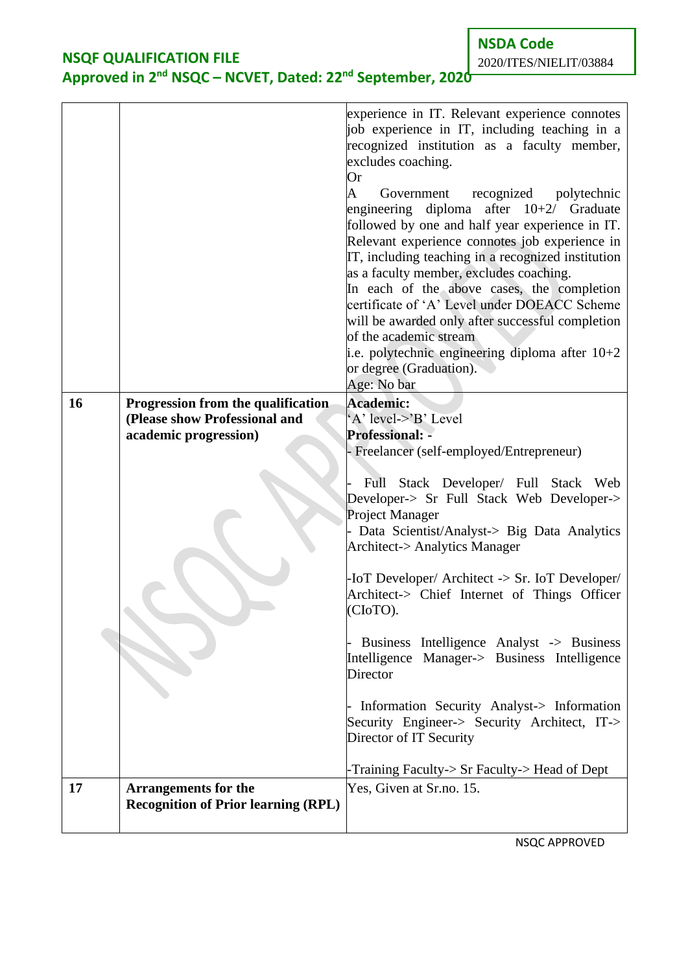**NSDA Code**

2020/ITES/NIELIT/03884

# **NSQF QUALIFICATION FILE Approved in 2nd NSQC – NCVET, Dated: 22nd September, 2020**

|           |                                                                           | experience in IT. Relevant experience connotes<br>job experience in IT, including teaching in a<br>recognized institution as a faculty member,<br>excludes coaching.<br>Or<br>recognized<br>Government<br>polytechnic<br>A<br>engineering diploma after $10+2$ Graduate<br>followed by one and half year experience in IT.<br>Relevant experience connotes job experience in<br>IT, including teaching in a recognized institution<br>as a faculty member, excludes coaching.<br>In each of the above cases, the completion<br>certificate of 'A' Level under DOEACC Scheme<br>will be awarded only after successful completion<br>of the academic stream<br>i.e. polytechnic engineering diploma after $10+2$<br>or degree (Graduation).<br>Age: No bar |
|-----------|---------------------------------------------------------------------------|----------------------------------------------------------------------------------------------------------------------------------------------------------------------------------------------------------------------------------------------------------------------------------------------------------------------------------------------------------------------------------------------------------------------------------------------------------------------------------------------------------------------------------------------------------------------------------------------------------------------------------------------------------------------------------------------------------------------------------------------------------|
| <b>16</b> | Progression from the qualification<br>(Please show Professional and       | <b>Academic:</b><br>'A' level->'B' Level                                                                                                                                                                                                                                                                                                                                                                                                                                                                                                                                                                                                                                                                                                                 |
|           | academic progression)                                                     | <b>Professional: -</b>                                                                                                                                                                                                                                                                                                                                                                                                                                                                                                                                                                                                                                                                                                                                   |
|           |                                                                           | - Freelancer (self-employed/Entrepreneur)                                                                                                                                                                                                                                                                                                                                                                                                                                                                                                                                                                                                                                                                                                                |
|           |                                                                           | Full Stack Developer/ Full Stack Web<br>Developer-> Sr Full Stack Web Developer-><br>Project Manager<br>Data Scientist/Analyst-> Big Data Analytics<br><b>Architect-&gt; Analytics Manager</b><br>-IoT Developer/ Architect -> Sr. IoT Developer/<br>Architect-> Chief Internet of Things Officer<br>(CIoTO).<br>Business Intelligence Analyst -> Business<br>Intelligence Manager-> Business Intelligence<br>Director<br>Information Security Analyst-> Information<br>Security Engineer-> Security Architect, IT-><br>Director of IT Security<br>-Training Faculty-> Sr Faculty-> Head of Dept                                                                                                                                                         |
| 17        | <b>Arrangements for the</b><br><b>Recognition of Prior learning (RPL)</b> | Yes, Given at Sr.no. 15.                                                                                                                                                                                                                                                                                                                                                                                                                                                                                                                                                                                                                                                                                                                                 |
|           |                                                                           |                                                                                                                                                                                                                                                                                                                                                                                                                                                                                                                                                                                                                                                                                                                                                          |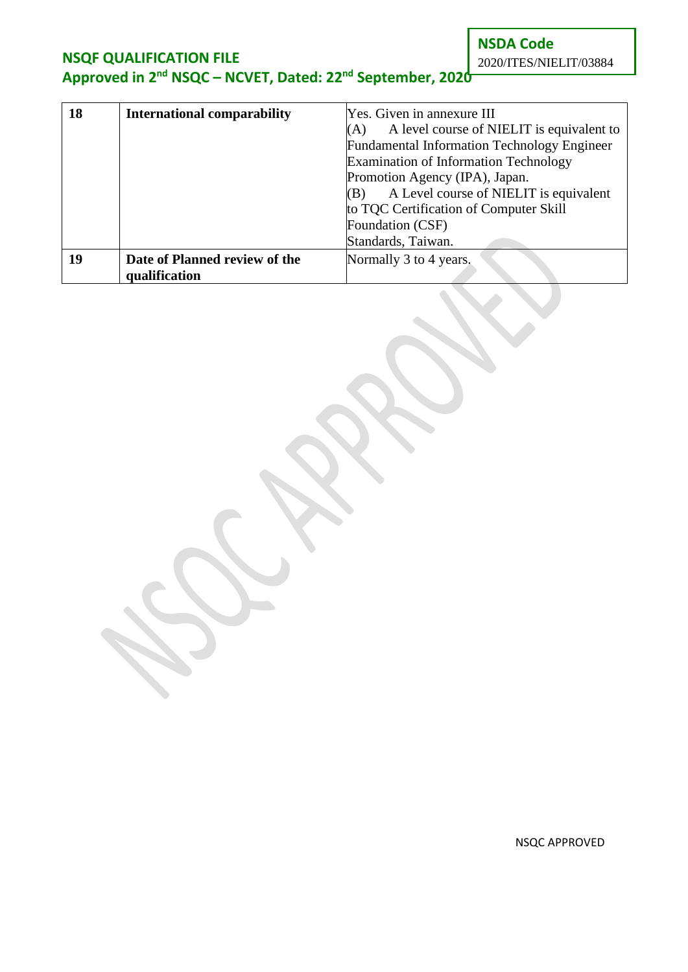**NSDA Code** 2020/ITES/NIELIT/03884

# **NSQF QUALIFICATION FILE Approved in 2nd NSQC – NCVET, Dated: 22nd September, 2020**

| 18 | <b>International comparability</b> | Yes. Given in annexure III                         |  |  |
|----|------------------------------------|----------------------------------------------------|--|--|
|    |                                    | A level course of NIELIT is equivalent to<br>(A)   |  |  |
|    |                                    | <b>Fundamental Information Technology Engineer</b> |  |  |
|    |                                    | <b>Examination of Information Technology</b>       |  |  |
|    |                                    | Promotion Agency (IPA), Japan.                     |  |  |
|    |                                    | A Level course of NIELIT is equivalent<br>(B)      |  |  |
|    |                                    | to TQC Certification of Computer Skill             |  |  |
|    |                                    | Foundation (CSF)                                   |  |  |
|    |                                    | Standards, Taiwan.                                 |  |  |
| 19 | Date of Planned review of the      | Normally 3 to 4 years.                             |  |  |
|    | qualification                      |                                                    |  |  |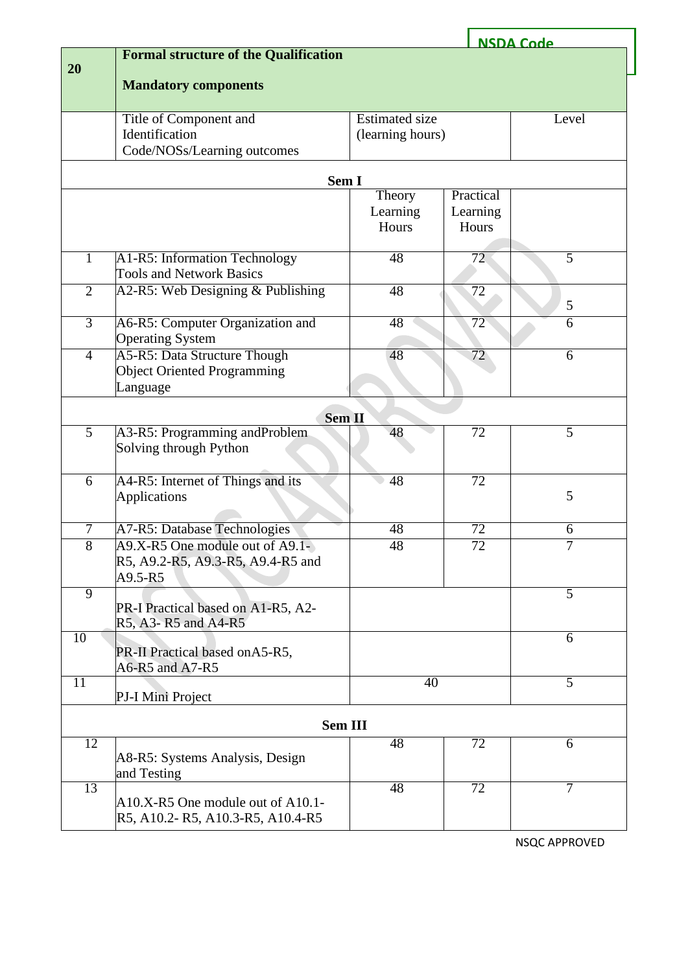|                |                                              |                       |                 | <b>NSDA Code</b> |
|----------------|----------------------------------------------|-----------------------|-----------------|------------------|
|                | <b>Formal structure of the Qualification</b> |                       |                 |                  |
| 20             |                                              |                       |                 |                  |
|                | <b>Mandatory components</b>                  |                       |                 |                  |
|                |                                              |                       |                 |                  |
|                | Title of Component and                       | <b>Estimated size</b> |                 | Level            |
|                | Identification                               | (learning hours)      |                 |                  |
|                | Code/NOSs/Learning outcomes                  |                       |                 |                  |
|                |                                              |                       |                 |                  |
|                |                                              | Sem I                 |                 |                  |
|                |                                              | Theory                | Practical       |                  |
|                |                                              | Learning              | Learning        |                  |
|                |                                              | Hours                 | Hours           |                  |
|                |                                              |                       |                 |                  |
|                |                                              |                       |                 |                  |
| $\mathbf{1}$   | A1-R5: Information Technology                | 48                    | 72              | 5                |
|                | <b>Tools and Network Basics</b>              |                       |                 |                  |
| $\overline{2}$ | A2-R5: Web Designing & Publishing            | 48                    | $\overline{72}$ |                  |
|                |                                              |                       |                 | 5                |
| $\overline{3}$ | A6-R5: Computer Organization and             | 48                    | $\overline{72}$ | 6                |
|                | <b>Operating System</b>                      |                       |                 |                  |
| $\overline{4}$ | A5-R5: Data Structure Though                 | 48                    | $\overline{72}$ | 6                |
|                | <b>Object Oriented Programming</b>           |                       |                 |                  |
|                | Language                                     |                       |                 |                  |
|                |                                              |                       |                 |                  |
|                |                                              | <b>Sem II</b>         |                 |                  |
| $\overline{5}$ | A3-R5: Programming and Problem               | 48                    | 72              | $\overline{5}$   |
|                | Solving through Python                       |                       |                 |                  |
|                |                                              |                       |                 |                  |
|                |                                              |                       |                 |                  |
| 6              | A4-R5: Internet of Things and its            | 48                    | $\overline{72}$ |                  |
|                | <b>Applications</b>                          |                       |                 | 5                |
|                |                                              |                       |                 |                  |
| $\tau$         | A7-R5: Database Technologies                 | 48                    | 72              | 6                |
| $\overline{8}$ | A9.X-R5 One module out of A9.1-              | 48                    | 72              | $\overline{7}$   |
|                | R5, A9.2-R5, A9.3-R5, A9.4-R5 and            |                       |                 |                  |
|                | A9.5-R5                                      |                       |                 |                  |
| $\overline{9}$ |                                              |                       |                 | 5                |
|                | PR-I Practical based on A1-R5, A2-           |                       |                 |                  |
|                | R5, A3-R5 and A4-R5                          |                       |                 |                  |
| 10             |                                              |                       |                 | 6                |
|                | PR-II Practical based on A5-R5,              |                       |                 |                  |
|                | A6-R5 and A7-R5                              |                       |                 |                  |
| 11             |                                              | 40                    |                 | $\overline{5}$   |
|                | PJ-I Mini Project                            |                       |                 |                  |
|                |                                              |                       |                 |                  |
|                |                                              | <b>Sem III</b>        |                 |                  |
| 12             |                                              | 48                    | 72              | 6                |
|                | A8-R5: Systems Analysis, Design              |                       |                 |                  |
|                | and Testing                                  |                       |                 |                  |
| 13             |                                              | 48                    | 72              | 7                |
|                | A10.X-R5 One module out of A10.1-            |                       |                 |                  |
|                | R5, A10.2-R5, A10.3-R5, A10.4-R5             |                       |                 |                  |
|                |                                              |                       |                 |                  |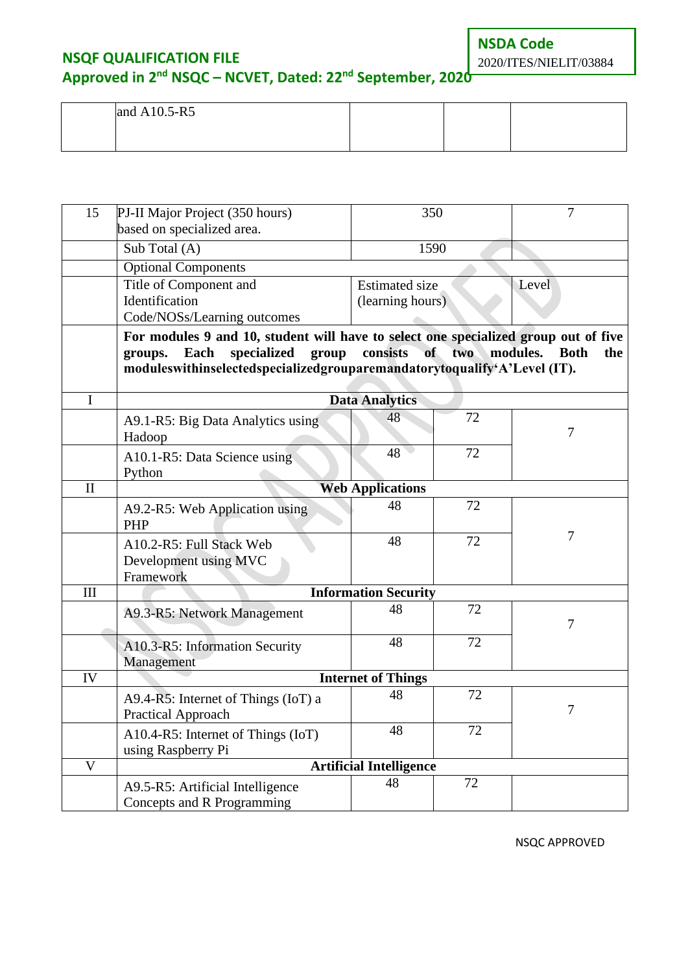**NSDA Code**

2020/ITES/NIELIT/03884

### **NSQF QUALIFICATION FILE**

### **Approved in 2nd NSQC – NCVET, Dated: 22nd September, 2020**

| and A10.5-R5 |  |  |
|--------------|--|--|
|              |  |  |
|              |  |  |

| 15           | PJ-II Major Project (350 hours)<br>based on specialized area.                       | 350                            |                    | 7                  |  |
|--------------|-------------------------------------------------------------------------------------|--------------------------------|--------------------|--------------------|--|
|              | Sub Total (A)                                                                       | 1590                           |                    |                    |  |
|              | <b>Optional Components</b>                                                          |                                |                    |                    |  |
|              | Title of Component and                                                              | <b>Estimated size</b>          |                    | Level              |  |
|              | Identification                                                                      | (learning hours)               |                    |                    |  |
|              | Code/NOSs/Learning outcomes                                                         |                                |                    |                    |  |
|              | For modules 9 and 10, student will have to select one specialized group out of five |                                |                    |                    |  |
|              | specialized<br>Each<br>group<br>groups.                                             | consists                       | of<br>two modules. | <b>Both</b><br>the |  |
|              | moduleswithinselectedspecializedgrouparemandatorytoqualify'A'Level (IT).            |                                |                    |                    |  |
|              |                                                                                     |                                |                    |                    |  |
| $\mathbf I$  |                                                                                     | <b>Data Analytics</b>          |                    |                    |  |
|              | A9.1-R5: Big Data Analytics using                                                   | 48                             | 72                 |                    |  |
|              | Hadoop                                                                              |                                |                    | 7                  |  |
|              | A10.1-R5: Data Science using                                                        | 48                             | 72                 |                    |  |
|              | Python                                                                              |                                |                    |                    |  |
| $\mathbf{I}$ |                                                                                     | <b>Web Applications</b>        |                    |                    |  |
|              | A9.2-R5: Web Application using<br><b>PHP</b>                                        | 48                             | 72                 |                    |  |
|              | A10.2-R5: Full Stack Web                                                            | 48                             | 72                 | 7                  |  |
|              | Development using MVC                                                               |                                |                    |                    |  |
|              | Framework                                                                           |                                |                    |                    |  |
| III          |                                                                                     | <b>Information Security</b>    |                    |                    |  |
|              | A9.3-R5: Network Management                                                         | 48                             | 72                 | 7                  |  |
|              | A10.3-R5: Information Security                                                      | 48                             | 72                 |                    |  |
|              | Management                                                                          |                                |                    |                    |  |
| IV           |                                                                                     | <b>Internet of Things</b>      |                    |                    |  |
|              | A9.4-R5: Internet of Things (IoT) $a$                                               | 48                             | 72                 |                    |  |
|              | <b>Practical Approach</b>                                                           |                                |                    | 7                  |  |
|              | A10.4-R5: Internet of Things (IoT)                                                  | 48                             | 72                 |                    |  |
|              | using Raspberry Pi                                                                  |                                |                    |                    |  |
| V            |                                                                                     | <b>Artificial Intelligence</b> |                    |                    |  |
|              | A9.5-R5: Artificial Intelligence<br>Concepts and R Programming                      | 48                             | 72                 |                    |  |
|              |                                                                                     |                                |                    |                    |  |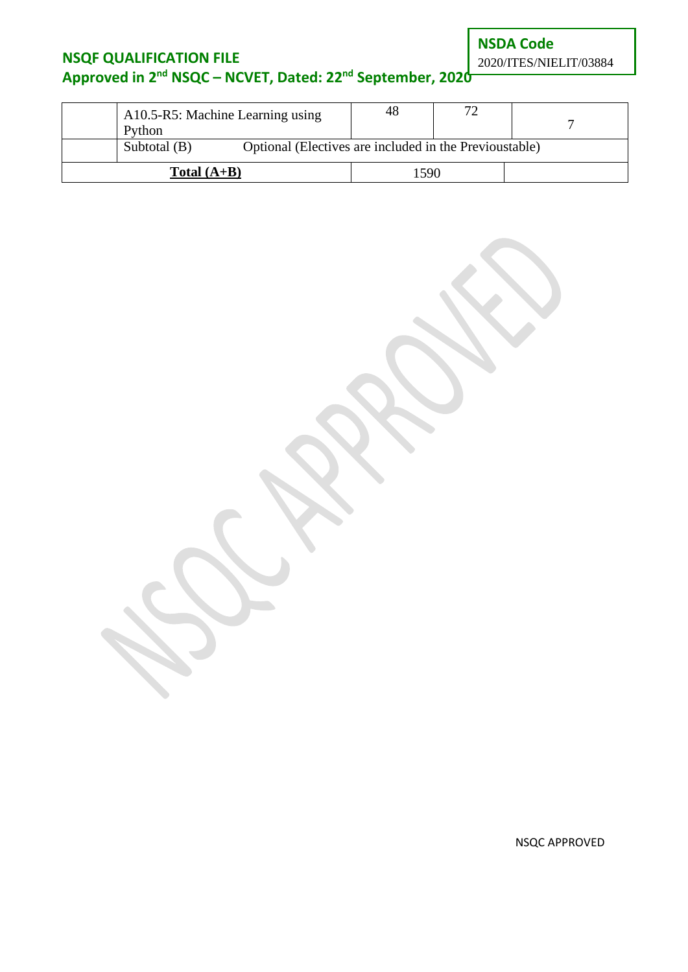**NSDA Code**

2020/ITES/NIELIT/03884

## **NSQF QUALIFICATION FILE Approved in 2nd NSQC – NCVET, Dated: 22nd September, 2020**

| Python                                                                   | A10.5-R5: Machine Learning using | 48   | 70 |  |
|--------------------------------------------------------------------------|----------------------------------|------|----|--|
| Optional (Electives are included in the Previoustable)<br>Subtotal $(B)$ |                                  |      |    |  |
| $Total (A+B)$                                                            |                                  | 1590 |    |  |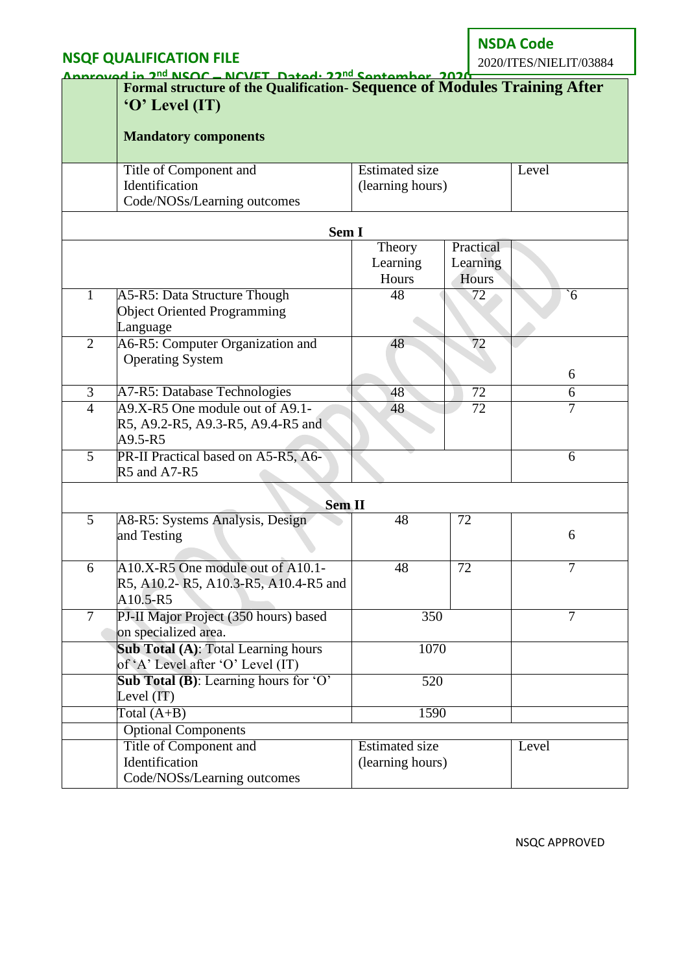**NSDA Code** 2020/ITES/NIELIT/03884

|                | Annrouad in 2 <sup>nd</sup> NCOC - NCVET Datad: 22 <sup>nd</sup> Cantamber 2020 |                                                                           |                 |                |  |  |
|----------------|---------------------------------------------------------------------------------|---------------------------------------------------------------------------|-----------------|----------------|--|--|
|                |                                                                                 | Formal structure of the Qualification- Sequence of Modules Training After |                 |                |  |  |
|                | $\mathbf{O}'$ Level (IT)                                                        |                                                                           |                 |                |  |  |
|                |                                                                                 |                                                                           |                 |                |  |  |
|                | <b>Mandatory components</b>                                                     |                                                                           |                 |                |  |  |
|                | Title of Component and                                                          | <b>Estimated size</b>                                                     |                 | Level          |  |  |
|                | Identification                                                                  | (learning hours)                                                          |                 |                |  |  |
|                | Code/NOSs/Learning outcomes                                                     |                                                                           |                 |                |  |  |
|                | Sem I                                                                           |                                                                           |                 |                |  |  |
|                |                                                                                 | Theory                                                                    | Practical       |                |  |  |
|                |                                                                                 | Learning                                                                  | Learning        |                |  |  |
|                |                                                                                 | Hours                                                                     | Hours           |                |  |  |
| $\mathbf{1}$   | A5-R5: Data Structure Though                                                    | 48                                                                        | 72              | $\delta$       |  |  |
|                | <b>Object Oriented Programming</b>                                              |                                                                           |                 |                |  |  |
|                | Language                                                                        |                                                                           |                 |                |  |  |
| $\overline{2}$ | A6-R5: Computer Organization and                                                | 48                                                                        | 72              |                |  |  |
|                | <b>Operating System</b>                                                         |                                                                           |                 |                |  |  |
|                |                                                                                 |                                                                           |                 | 6              |  |  |
| $\overline{3}$ | A7-R5: Database Technologies                                                    | 48                                                                        | $\overline{72}$ | 6              |  |  |
| $\overline{4}$ | A9.X-R5 One module out of A9.1-                                                 | 48                                                                        | 72              | 7              |  |  |
|                | R5, A9.2-R5, A9.3-R5, A9.4-R5 and                                               |                                                                           |                 |                |  |  |
|                | A9.5-R5                                                                         |                                                                           |                 |                |  |  |
| $\overline{5}$ | PR-II Practical based on A5-R5, A6-                                             |                                                                           |                 | 6              |  |  |
|                | R5 and A7-R5                                                                    |                                                                           |                 |                |  |  |
|                | <b>Sem II</b>                                                                   |                                                                           |                 |                |  |  |
| $\overline{5}$ | A8-R5: Systems Analysis, Design                                                 | 48                                                                        | 72              |                |  |  |
|                | and Testing                                                                     |                                                                           |                 | 6              |  |  |
|                |                                                                                 |                                                                           |                 |                |  |  |
| 6              | A10.X-R5 One module out of A10.1-                                               | 48                                                                        | 72              | $\overline{7}$ |  |  |
|                | R5, A10.2-R5, A10.3-R5, A10.4-R5 and                                            |                                                                           |                 |                |  |  |
|                | A10.5-R5                                                                        |                                                                           |                 |                |  |  |
| $\overline{7}$ | PJ-II Major Project (350 hours) based                                           | 350                                                                       |                 | 7              |  |  |
|                | on specialized area.                                                            |                                                                           |                 |                |  |  |
|                | <b>Sub Total (A): Total Learning hours</b>                                      | 1070                                                                      |                 |                |  |  |
|                | of 'A' Level after 'O' Level (IT)                                               |                                                                           |                 |                |  |  |
|                | Sub Total (B): Learning hours for 'O'                                           | 520                                                                       |                 |                |  |  |
|                | Level (IT)                                                                      |                                                                           |                 |                |  |  |
|                | Total $(A+B)$                                                                   | 1590                                                                      |                 |                |  |  |
|                | <b>Optional Components</b>                                                      |                                                                           |                 |                |  |  |
|                | Title of Component and                                                          | <b>Estimated size</b>                                                     |                 | Level          |  |  |
|                | Identification                                                                  | (learning hours)                                                          |                 |                |  |  |
|                | Code/NOSs/Learning outcomes                                                     |                                                                           |                 |                |  |  |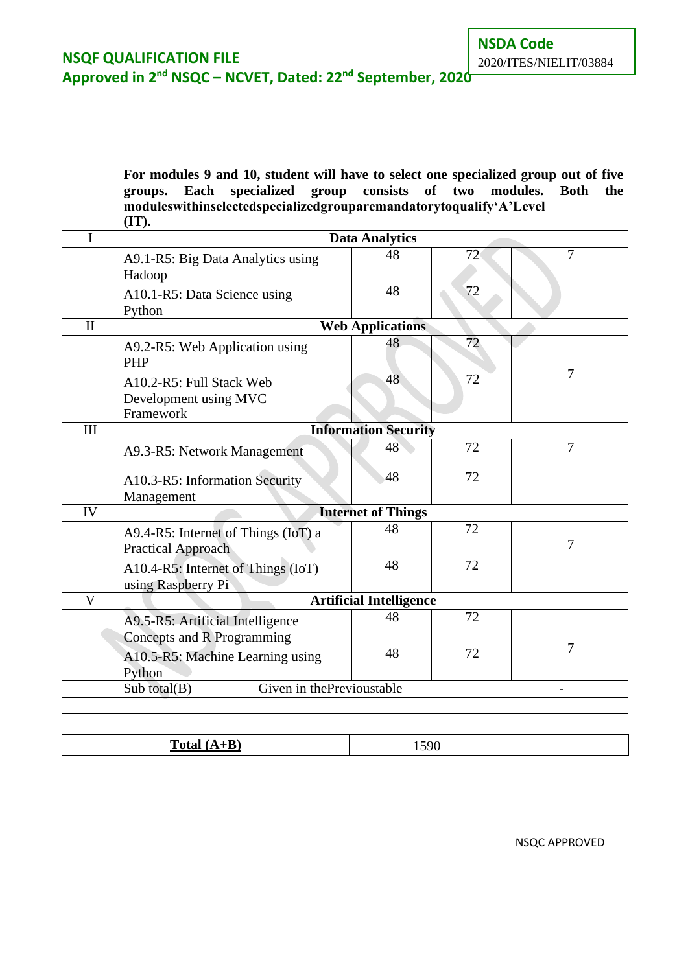|                           | For modules 9 and 10, student will have to select one specialized group out of five<br>specialized group consists<br>Each<br>groups.<br>moduleswithinselectedspecializedgrouparemandatorytoqualify'A'Level<br>(IT). |                                | of two | modules.<br><b>Both</b><br>the |  |
|---------------------------|---------------------------------------------------------------------------------------------------------------------------------------------------------------------------------------------------------------------|--------------------------------|--------|--------------------------------|--|
| I                         | <b>Data Analytics</b>                                                                                                                                                                                               |                                |        |                                |  |
|                           | A9.1-R5: Big Data Analytics using<br>Hadoop                                                                                                                                                                         | 48                             | 72     | $\overline{7}$                 |  |
|                           | A10.1-R5: Data Science using<br>Python                                                                                                                                                                              | 48                             | 72     |                                |  |
| $\mathbf{I}$              |                                                                                                                                                                                                                     | <b>Web Applications</b>        |        |                                |  |
|                           | A9.2-R5: Web Application using<br>PHP                                                                                                                                                                               | 48                             | 72     |                                |  |
|                           | A10.2-R5: Full Stack Web<br>Development using MVC<br>Framework                                                                                                                                                      | 48                             | 72     | 7                              |  |
| III                       |                                                                                                                                                                                                                     | <b>Information Security</b>    |        |                                |  |
|                           | A9.3-R5: Network Management                                                                                                                                                                                         | 48                             | 72     | 7                              |  |
|                           | A10.3-R5: Information Security<br>Management                                                                                                                                                                        | 48                             | 72     |                                |  |
| IV                        |                                                                                                                                                                                                                     | <b>Internet of Things</b>      |        |                                |  |
|                           | A9.4-R5: Internet of Things (IoT) a<br><b>Practical Approach</b>                                                                                                                                                    | 48                             | 72     | 7                              |  |
|                           | A10.4-R5: Internet of Things (IoT)<br>using Raspberry Pi                                                                                                                                                            | 48                             | 72     |                                |  |
| $\overline{\overline{V}}$ |                                                                                                                                                                                                                     | <b>Artificial Intelligence</b> |        |                                |  |
|                           | A9.5-R5: Artificial Intelligence<br>Concepts and R Programming                                                                                                                                                      | 48                             | 72     |                                |  |
|                           | A10.5-R5: Machine Learning using<br>Python                                                                                                                                                                          | 48                             | 72     | 7                              |  |
|                           | Given in thePrevioustable<br>Sub total $(B)$                                                                                                                                                                        |                                |        |                                |  |
|                           |                                                                                                                                                                                                                     |                                |        |                                |  |

| m<br>$-42$ | 590<br>1 <i>97</i> 0 |  |
|------------|----------------------|--|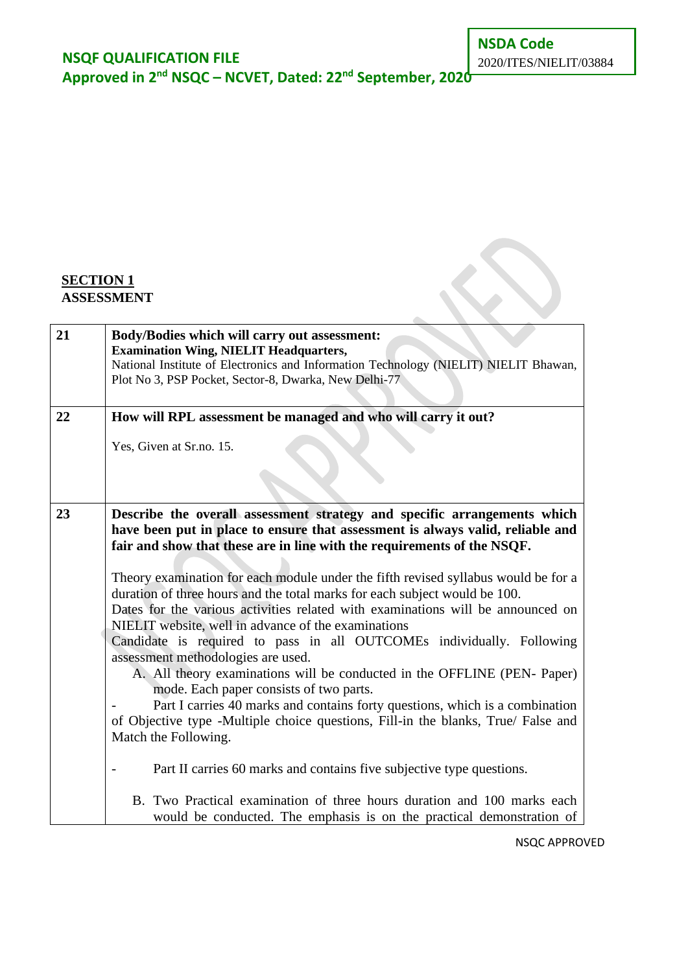**Approved in 2nd NSQC – NCVET, Dated: 22nd September, 2020**

 $\sim$ 

### **SECTION 1 ASSESSMENT**

| 21 | Body/Bodies which will carry out assessment:<br><b>Examination Wing, NIELIT Headquarters,</b><br>National Institute of Electronics and Information Technology (NIELIT) NIELIT Bhawan,<br>Plot No 3, PSP Pocket, Sector-8, Dwarka, New Delhi-77 |
|----|------------------------------------------------------------------------------------------------------------------------------------------------------------------------------------------------------------------------------------------------|
|    |                                                                                                                                                                                                                                                |
| 22 | How will RPL assessment be managed and who will carry it out?                                                                                                                                                                                  |
|    | Yes, Given at Sr.no. 15.                                                                                                                                                                                                                       |
|    |                                                                                                                                                                                                                                                |
|    |                                                                                                                                                                                                                                                |
| 23 | Describe the overall assessment strategy and specific arrangements which<br>have been put in place to ensure that assessment is always valid, reliable and<br>fair and show that these are in line with the requirements of the NSQF.          |
|    |                                                                                                                                                                                                                                                |
|    | Theory examination for each module under the fifth revised syllabus would be for a                                                                                                                                                             |
|    | duration of three hours and the total marks for each subject would be 100.                                                                                                                                                                     |
|    | Dates for the various activities related with examinations will be announced on<br>NIELIT website, well in advance of the examinations                                                                                                         |
|    | Candidate is required to pass in all OUTCOMEs individually. Following                                                                                                                                                                          |
|    | assessment methodologies are used.                                                                                                                                                                                                             |
|    | A. All theory examinations will be conducted in the OFFLINE (PEN-Paper)                                                                                                                                                                        |
|    | mode. Each paper consists of two parts.<br>Part I carries 40 marks and contains forty questions, which is a combination                                                                                                                        |
|    | of Objective type -Multiple choice questions, Fill-in the blanks, True/ False and                                                                                                                                                              |
|    | Match the Following.                                                                                                                                                                                                                           |
|    | Part II carries 60 marks and contains five subjective type questions.                                                                                                                                                                          |
|    | B. Two Practical examination of three hours duration and 100 marks each<br>would be conducted. The emphasis is on the practical demonstration of                                                                                               |
|    |                                                                                                                                                                                                                                                |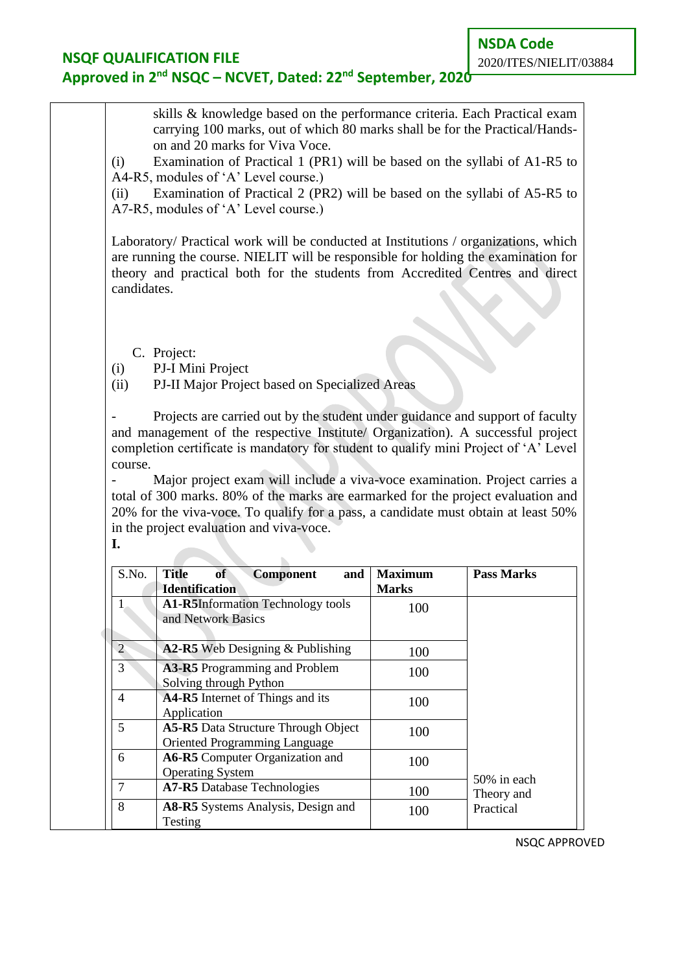### **NSQF QUALIFICATION FILE Approved in 2nd NSQC – NCVET, Dated: 22nd September, 2020**

(i) Examination of Practical 1 (PR1) will be based on the syllabi of A1-R5 to A4-R5, modules of 'A' Level course.)

(ii) Examination of Practical 2 (PR2) will be based on the syllabi of A5-R5 to A7-R5, modules of 'A' Level course.)

Laboratory/ Practical work will be conducted at Institutions / organizations, which are running the course. NIELIT will be responsible for holding the examination for theory and practical both for the students from Accredited Centres and direct candidates.

- C. Project:
- (i) PJ-I Mini Project
- (ii) PJ-II Major Project based on Specialized Areas

Projects are carried out by the student under guidance and support of faculty and management of the respective Institute/ Organization). A successful project completion certificate is mandatory for student to qualify mini Project of 'A' Level course.

Major project exam will include a viva-voce examination. Project carries a total of 300 marks. 80% of the marks are earmarked for the project evaluation and 20% for the viva-voce. To qualify for a pass, a candidate must obtain at least 50% in the project evaluation and viva-voce. **I.**

| S.No.          | Title<br><b>of</b><br><b>Component</b><br>and<br><b>Identification</b>      | <b>Maximum</b><br><b>Marks</b> | <b>Pass Marks</b> |
|----------------|-----------------------------------------------------------------------------|--------------------------------|-------------------|
|                | <b>A1-R5Information Technology tools</b><br>and Network Basics              | 100                            |                   |
| $\overline{2}$ | A2-R5 Web Designing & Publishing                                            | 100                            |                   |
| 3              | <b>A3-R5</b> Programming and Problem<br>Solving through Python              | 100                            |                   |
| 4              | A4-R5 Internet of Things and its<br>Application                             | 100                            |                   |
| 5              | <b>A5-R5</b> Data Structure Through Object<br>Oriented Programming Language | 100                            |                   |
| 6              | A6-R5 Computer Organization and<br><b>Operating System</b>                  | 100                            | 50% in each       |
| 7              | <b>A7-R5</b> Database Technologies                                          | 100                            | Theory and        |
| 8              | <b>A8-R5</b> Systems Analysis, Design and<br>Testing                        | 100                            | Practical         |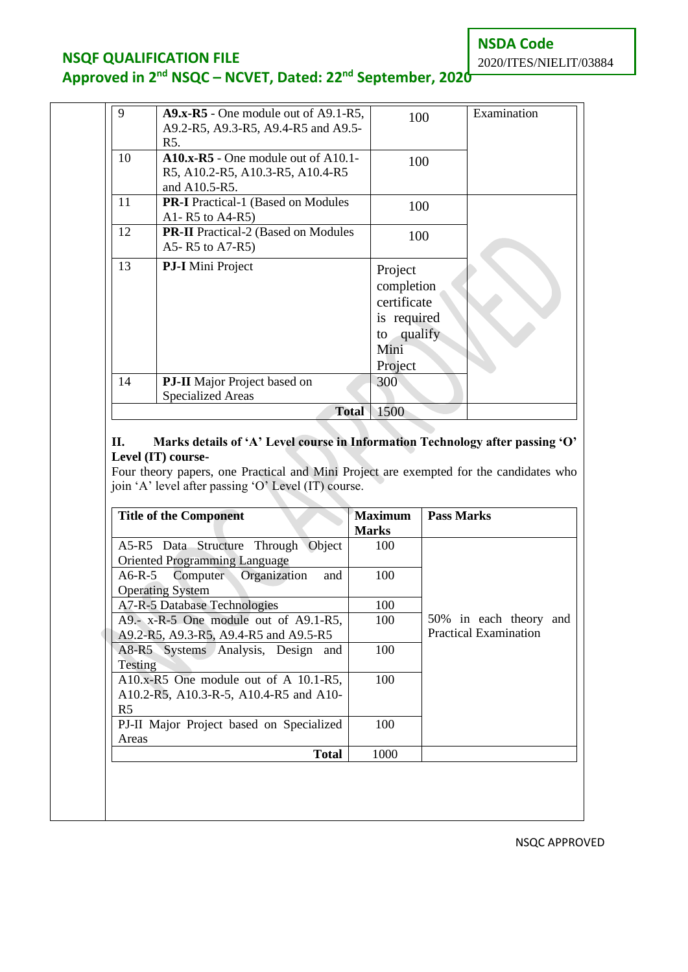**NSDA Code**

### **NSQF QUALIFICATION FILE**

# **Approved in 2nd NSQC – NCVET, Dated: 22nd September, 2020**

| 9  | $A9.x-R5$ - One module out of A9.1-R5,<br>A9.2-R5, A9.3-R5, A9.4-R5 and A9.5-<br>R5.       | 100                                                                                  | Examination |
|----|--------------------------------------------------------------------------------------------|--------------------------------------------------------------------------------------|-------------|
| 10 | $A10.x-R5$ - One module out of A10.1-<br>R5, A10.2-R5, A10.3-R5, A10.4-R5<br>and A10.5-R5. | 100                                                                                  |             |
| 11 | <b>PR-I</b> Practical-1 (Based on Modules)<br>A1-R5 to $A4-R5$ )                           | 100                                                                                  |             |
| 12 | <b>PR-II</b> Practical-2 (Based on Modules<br>A5-R5 to A7-R5)                              | 100                                                                                  |             |
| 13 | <b>PJ-I</b> Mini Project                                                                   | Project<br>completion<br>certificate<br>is required<br>to qualify<br>Mini<br>Project |             |
| 14 | <b>PJ-II</b> Major Project based on<br><b>Specialized Areas</b>                            | 300                                                                                  |             |
|    | 1500<br><b>Total</b>                                                                       |                                                                                      |             |

#### **II. Marks details of 'A' Level course in Information Technology after passing 'O' Level (IT) course-**

Four theory papers, one Practical and Mini Project are exempted for the candidates who join 'A' level after passing 'O' Level (IT) course.

|                                          | <b>Marks</b> |                              |
|------------------------------------------|--------------|------------------------------|
| A5-R5 Data Structure Through Object      | 100          |                              |
| <b>Oriented Programming Language</b>     |              |                              |
| A6-R-5 Computer Organization<br>and      | 100          |                              |
| <b>Operating System</b>                  |              |                              |
| A7-R-5 Database Technologies             | 100          |                              |
| A9.- x-R-5 One module out of A9.1-R5,    | 100          | 50% in each theory and       |
| A9.2-R5, A9.3-R5, A9.4-R5 and A9.5-R5    |              | <b>Practical Examination</b> |
| A8-R5 Systems Analysis, Design and       | 100          |                              |
| Testing                                  |              |                              |
| A10.x-R5 One module out of A $10.1-R5$ , | 100          |                              |
| A10.2-R5, A10.3-R-5, A10.4-R5 and A10-   |              |                              |
| R <sub>5</sub>                           |              |                              |
| PJ-II Major Project based on Specialized | 100          |                              |
| Areas                                    |              |                              |
| Total                                    | 1000         |                              |

NSQC APPROVED

# 2020/ITES/NIELIT/03884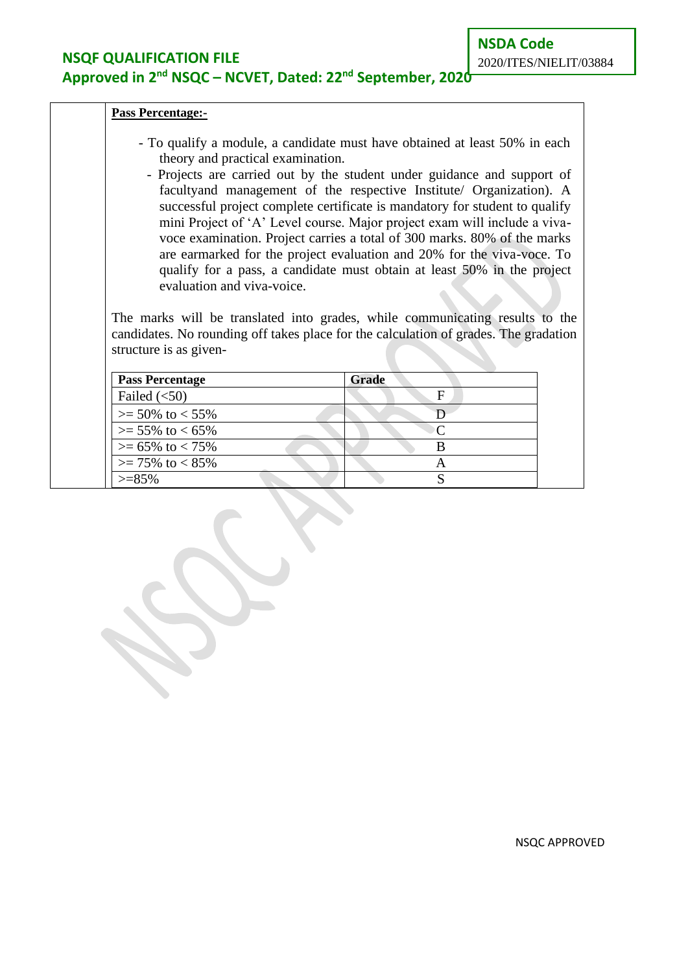### **NSQF QUALIFICATION FILE Approved in 2nd NSQC – NCVET, Dated: 22nd September, 2020**

#### **Pass Percentage:-**

- To qualify a module, a candidate must have obtained at least 50% in each theory and practical examination.
	- Projects are carried out by the student under guidance and support of facultyand management of the respective Institute/ Organization). A successful project complete certificate is mandatory for student to qualify mini Project of 'A' Level course. Major project exam will include a vivavoce examination. Project carries a total of 300 marks. 80% of the marks are earmarked for the project evaluation and 20% for the viva-voce. To qualify for a pass, a candidate must obtain at least 50% in the project evaluation and viva-voice.

The marks will be translated into grades, while communicating results to the candidates. No rounding off takes place for the calculation of grades. The gradation structure is as given-

| <b>Pass Percentage</b>       | Grade |
|------------------------------|-------|
| Failed $(<50)$               |       |
| $>= 50\%$ to $< 55\%$        |       |
| $>= 55\%$ to $< 65\%$        |       |
| $>= 65\% \text{ to } < 75\%$ |       |
| $>= 75\%$ to $< 85\%$        | ⊶     |
| $> = 85\%$                   |       |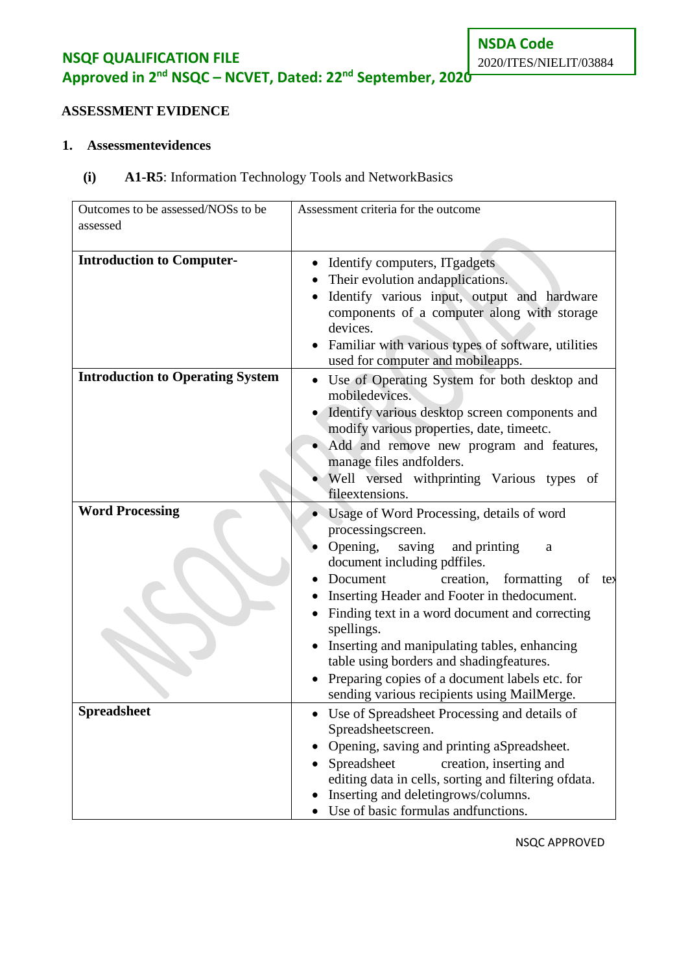**NSQF QUALIFICATION FILE Approved in 2nd NSQC – NCVET, Dated: 22nd September, 2020**

# **ASSESSMENT EVIDENCE**

#### **1. Assessmentevidences**

### **(i) A1-R5**: Information Technology Tools and NetworkBasics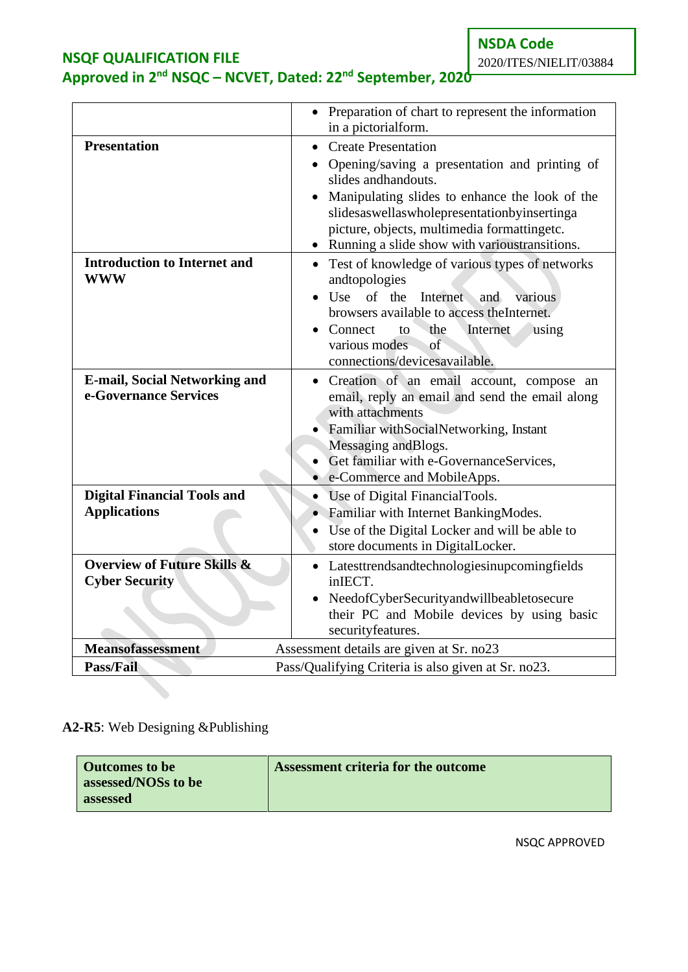**NSDA Code**

### **NSQF QUALIFICATION FILE Approved in 2nd NSQC – NCVET, Dated: 22nd September, 2020**

|                                                                 | • Preparation of chart to represent the information<br>in a pictorialform.                                                                                                                                                                                                                            |
|-----------------------------------------------------------------|-------------------------------------------------------------------------------------------------------------------------------------------------------------------------------------------------------------------------------------------------------------------------------------------------------|
| <b>Presentation</b><br><b>Introduction to Internet and</b>      | <b>Create Presentation</b><br>Opening/saving a presentation and printing of<br>slides and handouts.<br>Manipulating slides to enhance the look of the<br>slidesaswellaswholepresentationbyinsertinga<br>picture, objects, multimedia formattingetc.<br>Running a slide show with various transitions. |
| <b>WWW</b>                                                      | • Test of knowledge of various types of networks<br>andtopologies<br>Use of the<br>Internet<br>and<br>various<br>browsers available to access the Internet.<br>Connect<br>the<br>Internet<br>to<br>using<br>various modes<br><sub>of</sub><br>connections/devicesavailable.                           |
| <b>E-mail, Social Networking and</b><br>e-Governance Services   | Creation of an email account, compose<br>an<br>email, reply an email and send the email along<br>with attachments<br>Familiar withSocialNetworking, Instant<br>Messaging and Blogs.<br>Get familiar with e-GovernanceServices,<br>e-Commerce and MobileApps.                                          |
| <b>Digital Financial Tools and</b><br><b>Applications</b>       | Use of Digital FinancialTools.<br>• Familiar with Internet BankingModes.<br>Use of the Digital Locker and will be able to<br>store documents in DigitalLocker.                                                                                                                                        |
| <b>Overview of Future Skills &amp;</b><br><b>Cyber Security</b> | Latesttrendsandtechnologiesinupcomingfields<br>$\bullet$<br>inIECT.<br>NeedofCyberSecurityandwillbeabletosecure<br>their PC and Mobile devices by using basic<br>securityfeatures.                                                                                                                    |
| <b>Meansofassessment</b>                                        | Assessment details are given at Sr. no23                                                                                                                                                                                                                                                              |
| <b>Pass/Fail</b>                                                | Pass/Qualifying Criteria is also given at Sr. no23.                                                                                                                                                                                                                                                   |

# **A2-R5**: Web Designing &Publishing

| <b>Outcomes to be</b> | Assessment criteria for the outcome |
|-----------------------|-------------------------------------|
| assessed/NOSs to be   |                                     |
| assessed              |                                     |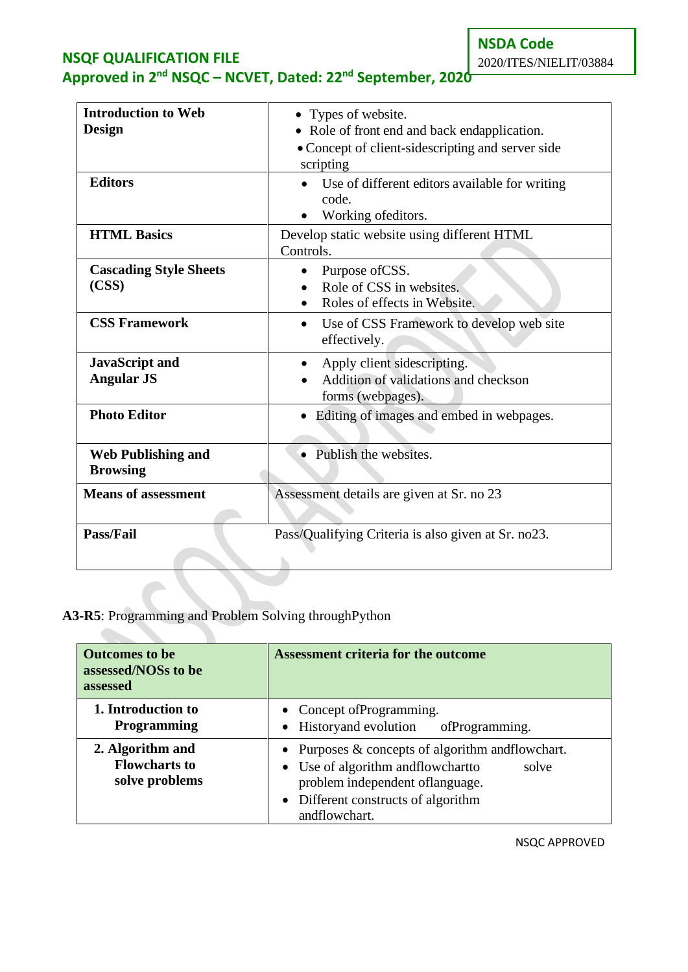**NSDA Code** 2020/ITES/NIELIT/03884

# **NSQF QUALIFICATION FILE Approved in 2nd NSQC – NCVET, Dated: 22nd September, 2020**

| <b>Introduction to Web</b><br><b>Design</b><br><b>Editors</b> | • Types of website.<br>• Role of front end and back endapplication.<br>• Concept of client-sidescripting and server side<br>scripting<br>Use of different editors available for writing |
|---------------------------------------------------------------|-----------------------------------------------------------------------------------------------------------------------------------------------------------------------------------------|
|                                                               | code.<br>Working ofeditors.                                                                                                                                                             |
| <b>HTML Basics</b>                                            | Develop static website using different HTML<br>Controls.                                                                                                                                |
| <b>Cascading Style Sheets</b><br>(CSS)                        | Purpose of CSS.<br>Role of CSS in websites.<br>Roles of effects in Website.                                                                                                             |
| <b>CSS Framework</b>                                          | Use of CSS Framework to develop web site<br>$\bullet$<br>effectively.                                                                                                                   |
| <b>JavaScript and</b><br><b>Angular JS</b>                    | Apply client sidescripting.<br>Addition of validations and checkson<br>forms (webpages).                                                                                                |
| <b>Photo Editor</b>                                           | Editing of images and embed in webpages.<br>$\bullet$                                                                                                                                   |
| <b>Web Publishing and</b><br><b>Browsing</b>                  | Publish the websites.                                                                                                                                                                   |
| <b>Means of assessment</b>                                    | Assessment details are given at Sr. no 23                                                                                                                                               |
| <b>Pass/Fail</b>                                              | Pass/Qualifying Criteria is also given at Sr. no23.                                                                                                                                     |

# **A3-R5**: Programming and Problem Solving throughPython

 $\bullet$ 

| <b>Outcomes to be</b><br>assessed/NOSs to be<br>assessed   | <b>Assessment criteria for the outcome</b>                                                                                                                                                         |
|------------------------------------------------------------|----------------------------------------------------------------------------------------------------------------------------------------------------------------------------------------------------|
| 1. Introduction to<br><b>Programming</b>                   | • Concept of Programming.<br>• Historyand evolution<br>ofProgramming.                                                                                                                              |
| 2. Algorithm and<br><b>Flowcharts to</b><br>solve problems | • Purposes $\&$ concepts of algorithm and flow chart.<br>• Use of algorithm and flow chart to<br>solve<br>problem independent of language.<br>• Different constructs of algorithm<br>andflowchart. |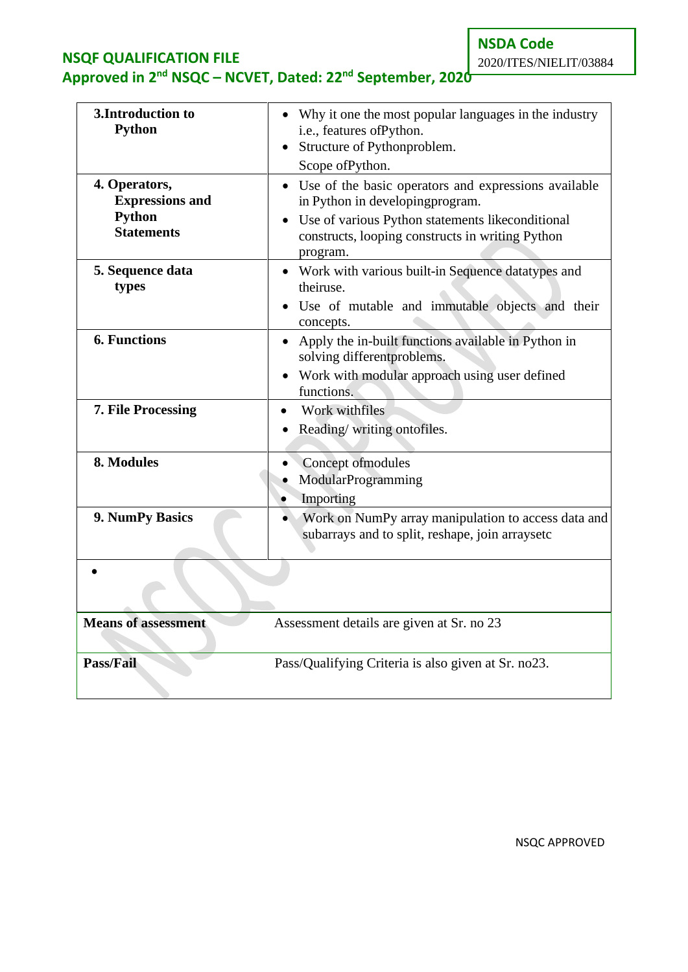**NSDA Code**

# **NSQF QUALIFICATION FILE Approved in 2nd NSQC – NCVET, Dated: 22nd September, 2020**

2020/ITES/NIELIT/03884

| 3. Introduction to<br><b>Python</b>                                    | • Why it one the most popular languages in the industry<br>i.e., features of Python.<br>• Structure of Pythonproblem.<br>Scope of Python.                                                                       |  |
|------------------------------------------------------------------------|-----------------------------------------------------------------------------------------------------------------------------------------------------------------------------------------------------------------|--|
| 4. Operators,<br><b>Expressions and</b><br>Python<br><b>Statements</b> | • Use of the basic operators and expressions available<br>in Python in developingprogram.<br>• Use of various Python statements likeconditional<br>constructs, looping constructs in writing Python<br>program. |  |
| 5. Sequence data<br>types                                              | • Work with various built-in Sequence datatypes and<br>theiruse.<br>· Use of mutable and immutable objects and their<br>concepts.                                                                               |  |
| <b>6. Functions</b>                                                    | • Apply the in-built functions available in Python in<br>solving different problems.<br>• Work with modular approach using user defined<br>functions.                                                           |  |
| 7. File Processing                                                     | Work withfiles<br>• Reading/writing ontofiles.                                                                                                                                                                  |  |
| 8. Modules                                                             | Concept of modules<br>ModularProgramming<br>Importing                                                                                                                                                           |  |
| 9. NumPy Basics                                                        | Work on NumPy array manipulation to access data and<br>subarrays and to split, reshape, join arraysetc                                                                                                          |  |
|                                                                        |                                                                                                                                                                                                                 |  |
| <b>Means of assessment</b>                                             | Assessment details are given at Sr. no 23                                                                                                                                                                       |  |
| Pass/Fail                                                              | Pass/Qualifying Criteria is also given at Sr. no23.                                                                                                                                                             |  |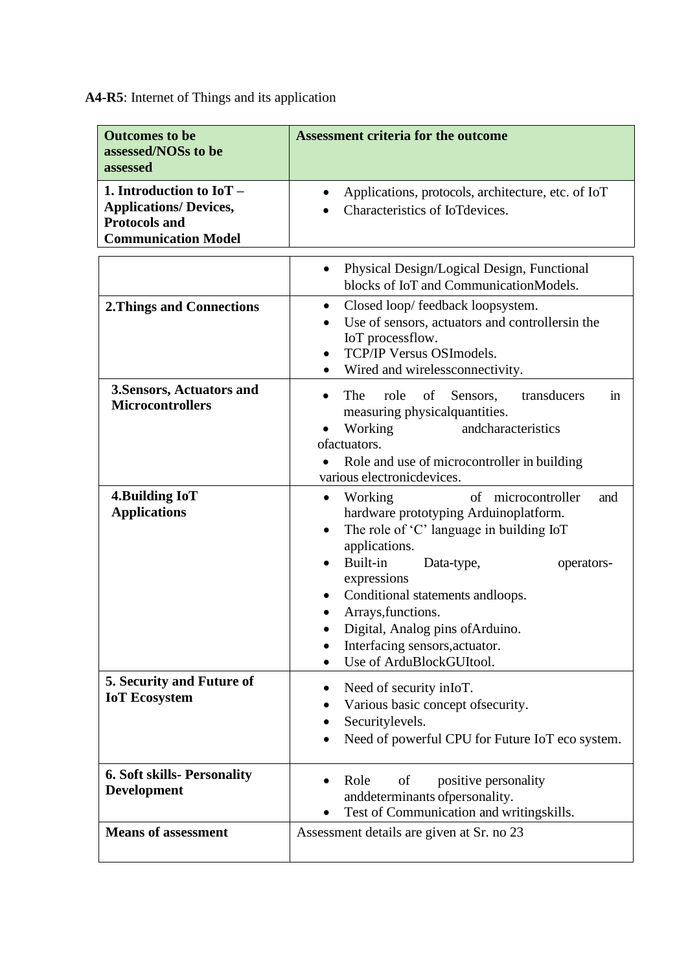**A4-R5**: Internet of Things and its application

| <b>Outcomes to be</b><br>assessed/NOSs to be<br>assessed                                                          | <b>Assessment criteria for the outcome</b>                                                                                                                                                                                                                                                                                                                                                                  |
|-------------------------------------------------------------------------------------------------------------------|-------------------------------------------------------------------------------------------------------------------------------------------------------------------------------------------------------------------------------------------------------------------------------------------------------------------------------------------------------------------------------------------------------------|
| 1. Introduction to $IoT -$<br><b>Applications/ Devices,</b><br><b>Protocols and</b><br><b>Communication Model</b> | Applications, protocols, architecture, etc. of IoT<br>Characteristics of IoTdevices.                                                                                                                                                                                                                                                                                                                        |
|                                                                                                                   | Physical Design/Logical Design, Functional<br>٠<br>blocks of IoT and CommunicationModels.                                                                                                                                                                                                                                                                                                                   |
| <b>2. Things and Connections</b>                                                                                  | Closed loop/ feedback loopsystem.<br>$\bullet$<br>Use of sensors, actuators and controllersin the<br>IoT processflow.<br>TCP/IP Versus OSImodels.<br>$\bullet$<br>Wired and wirelessconnectivity.                                                                                                                                                                                                           |
| 3. Sensors, Actuators and<br><b>Microcontrollers</b>                                                              | The<br>role<br>of<br>transducers<br>Sensors,<br>in<br>$\bullet$<br>measuring physical quantities.<br>Working<br>andcharacteristics<br>ofactuators.<br>Role and use of microcontroller in building<br>various electronic devices.                                                                                                                                                                            |
| 4. Building IoT<br><b>Applications</b>                                                                            | Working<br>microcontroller<br>of<br>and<br>$\bullet$<br>hardware prototyping Arduinoplatform.<br>The role of 'C' language in building IoT<br>applications.<br>Built-in<br>Data-type,<br>operators-<br>$\bullet$<br>expressions<br>Conditional statements and<br>loops.<br>$\bullet$<br>Arrays, functions.<br>Digital, Analog pins of Arduino.<br>Interfacing sensors, actuator.<br>Use of ArduBlockGUItool. |
| 5. Security and Future of<br><b>IoT</b> Ecosystem                                                                 | Need of security in IoT.<br>Various basic concept of security.<br>Securitylevels.<br>Need of powerful CPU for Future IoT eco system.<br>٠                                                                                                                                                                                                                                                                   |
| <b>6. Soft skills- Personality</b><br><b>Development</b>                                                          | positive personality<br>Role<br>of<br>and<br>determinants of personality.<br>Test of Communication and writingskills.                                                                                                                                                                                                                                                                                       |
| <b>Means of assessment</b>                                                                                        | Assessment details are given at Sr. no 23                                                                                                                                                                                                                                                                                                                                                                   |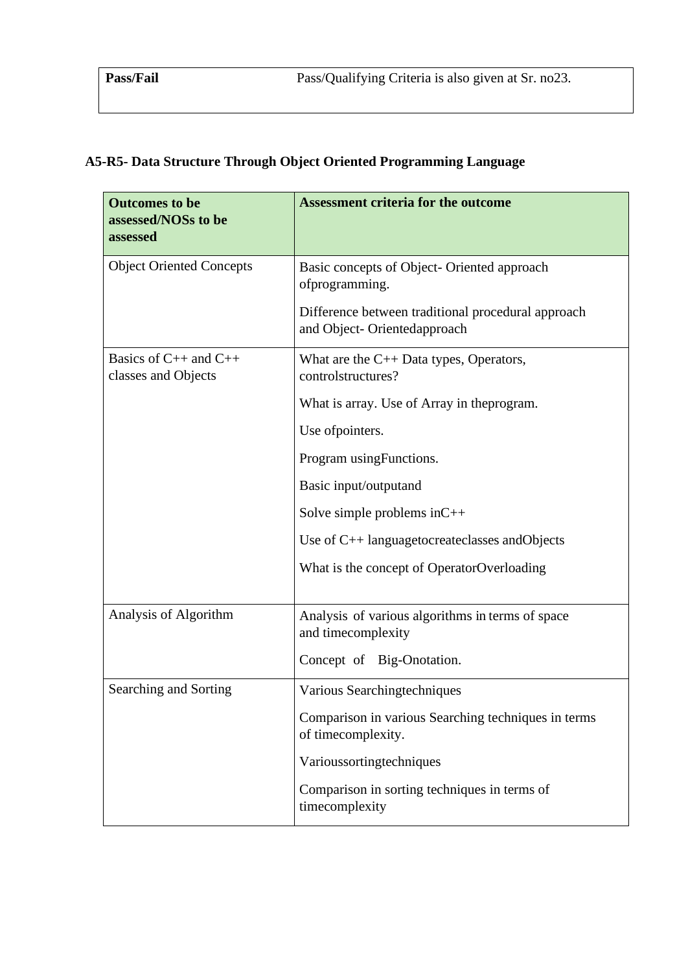# **A5-R5- Data Structure Through Object Oriented Programming Language**

| <b>Outcomes to be</b><br>assessed/NOSs to be<br>assessed | <b>Assessment criteria for the outcome</b>                                        |
|----------------------------------------------------------|-----------------------------------------------------------------------------------|
| <b>Object Oriented Concepts</b>                          | Basic concepts of Object- Oriented approach<br>ofprogramming.                     |
|                                                          | Difference between traditional procedural approach<br>and Object-Orientedapproach |
| Basics of $C_{++}$ and $C_{++}$<br>classes and Objects   | What are the $C_{++}$ Data types, Operators,<br>controlstructures?                |
|                                                          | What is array. Use of Array in the program.                                       |
|                                                          | Use of pointers.                                                                  |
|                                                          | Program using Functions.                                                          |
|                                                          | Basic input/outputand                                                             |
|                                                          | Solve simple problems in $C++$                                                    |
|                                                          | Use of $C_{++}$ languagetocreateclasses and Objects                               |
|                                                          | What is the concept of OperatorOverloading                                        |
|                                                          |                                                                                   |
| Analysis of Algorithm                                    | Analysis of various algorithms in terms of space<br>and timecomplexity            |
|                                                          | Concept of Big-Onotation.                                                         |
| Searching and Sorting                                    | Various Searchingtechniques                                                       |
|                                                          | Comparison in various Searching techniques in terms<br>of timecomplexity.         |
|                                                          | Varioussortingtechniques                                                          |
|                                                          | Comparison in sorting techniques in terms of<br>timecomplexity                    |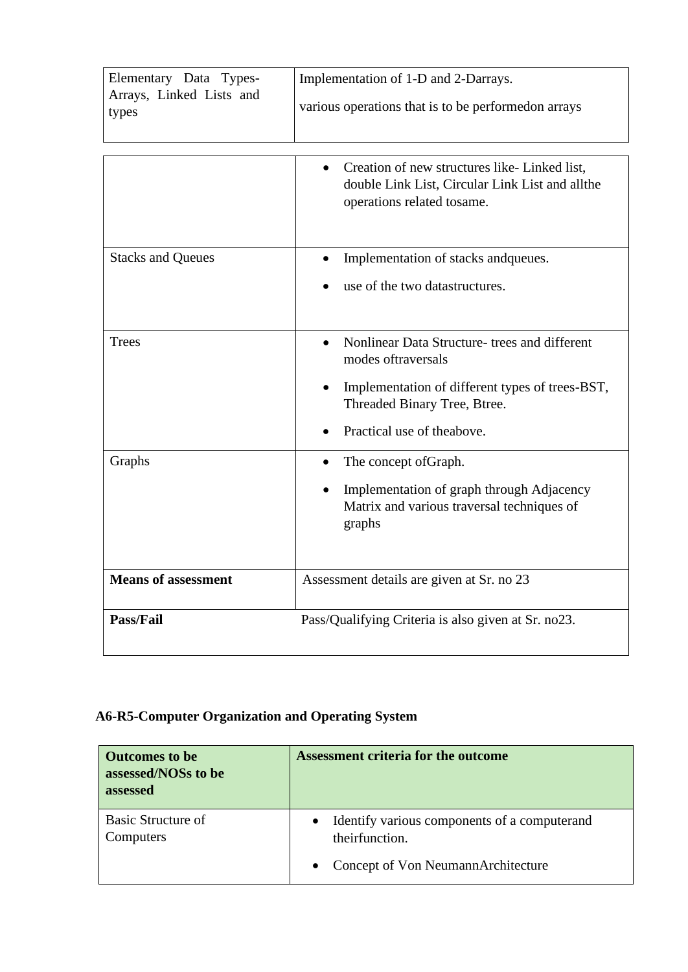| Elementary Data Types-<br>Arrays, Linked Lists and<br>types | Implementation of 1-D and 2-Darrays.<br>various operations that is to be performed on arrays                                                                                                        |
|-------------------------------------------------------------|-----------------------------------------------------------------------------------------------------------------------------------------------------------------------------------------------------|
|                                                             | Creation of new structures like-Linked list,<br>double Link List, Circular Link List and allthe<br>operations related tosame.                                                                       |
| <b>Stacks and Queues</b>                                    | Implementation of stacks and queues.<br>use of the two datastructures.                                                                                                                              |
| <b>Trees</b>                                                | Nonlinear Data Structure- trees and different<br>modes of traversals<br>Implementation of different types of trees-BST,<br>$\bullet$<br>Threaded Binary Tree, Btree.<br>Practical use of the above. |
| Graphs                                                      | The concept of Graph.<br>Implementation of graph through Adjacency<br>Matrix and various traversal techniques of<br>graphs                                                                          |
| <b>Means of assessment</b>                                  | Assessment details are given at Sr. no 23                                                                                                                                                           |
| Pass/Fail                                                   | Pass/Qualifying Criteria is also given at Sr. no23.                                                                                                                                                 |

# **A6-R5-Computer Organization and Operating System**

| <b>Outcomes to be</b><br>assessed/NOSs to be<br>assessed | <b>Assessment criteria for the outcome</b>                                  |
|----------------------------------------------------------|-----------------------------------------------------------------------------|
| Basic Structure of<br>Computers                          | Identify various components of a computerand<br>$\bullet$<br>theirfunction. |
|                                                          | Concept of Von NeumannArchitecture                                          |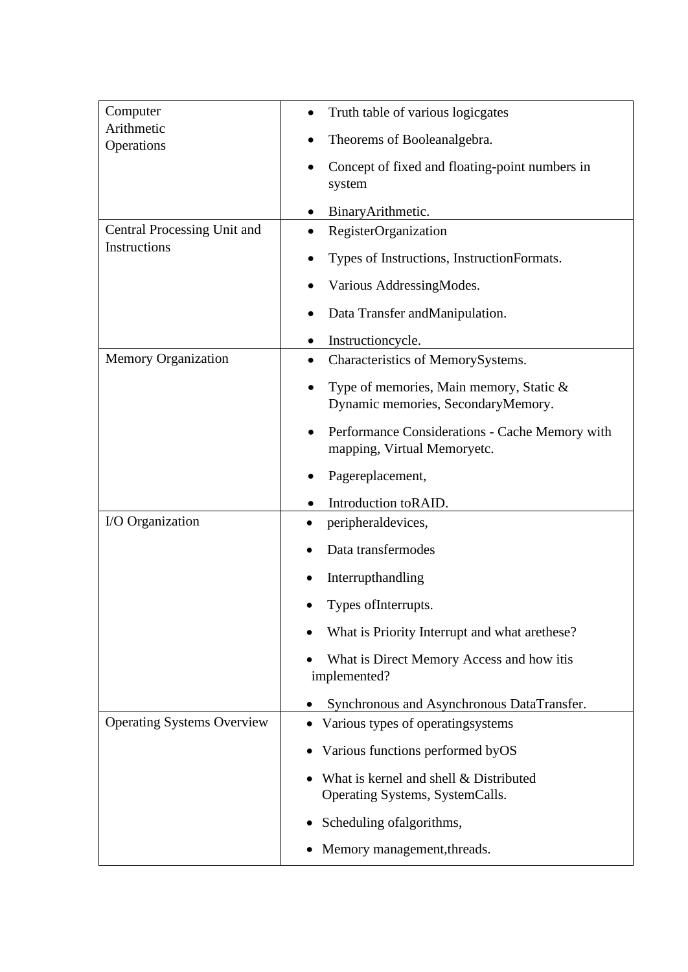| Computer<br>Arithmetic            | Truth table of various logicgates                                             |
|-----------------------------------|-------------------------------------------------------------------------------|
| Operations                        | Theorems of Booleanalgebra.                                                   |
|                                   | Concept of fixed and floating-point numbers in<br>system                      |
|                                   | BinaryArithmetic.                                                             |
| Central Processing Unit and       | RegisterOrganization                                                          |
| Instructions                      | Types of Instructions, InstructionFormats.                                    |
|                                   | Various AddressingModes.                                                      |
|                                   | Data Transfer and Manipulation.                                               |
|                                   | Instructioncycle.                                                             |
| <b>Memory Organization</b>        | Characteristics of MemorySystems.                                             |
|                                   | Type of memories, Main memory, Static &<br>Dynamic memories, SecondaryMemory. |
|                                   | Performance Considerations - Cache Memory with<br>mapping, Virtual Memoryetc. |
|                                   | Pagereplacement,                                                              |
|                                   | Introduction toRAID.                                                          |
| I/O Organization                  | peripheraldevices,                                                            |
|                                   | Data transfermodes                                                            |
|                                   | Interrupthandling                                                             |
|                                   | Types of Interrupts.                                                          |
|                                   | What is Priority Interrupt and what are these?                                |
|                                   | What is Direct Memory Access and how itis<br>implemented?                     |
|                                   | Synchronous and Asynchronous DataTransfer.                                    |
| <b>Operating Systems Overview</b> | Various types of operatingsystems                                             |
|                                   | Various functions performed by OS                                             |
|                                   | What is kernel and shell & Distributed<br>Operating Systems, SystemCalls.     |
|                                   | Scheduling of algorithms,                                                     |
|                                   | Memory management, threads.                                                   |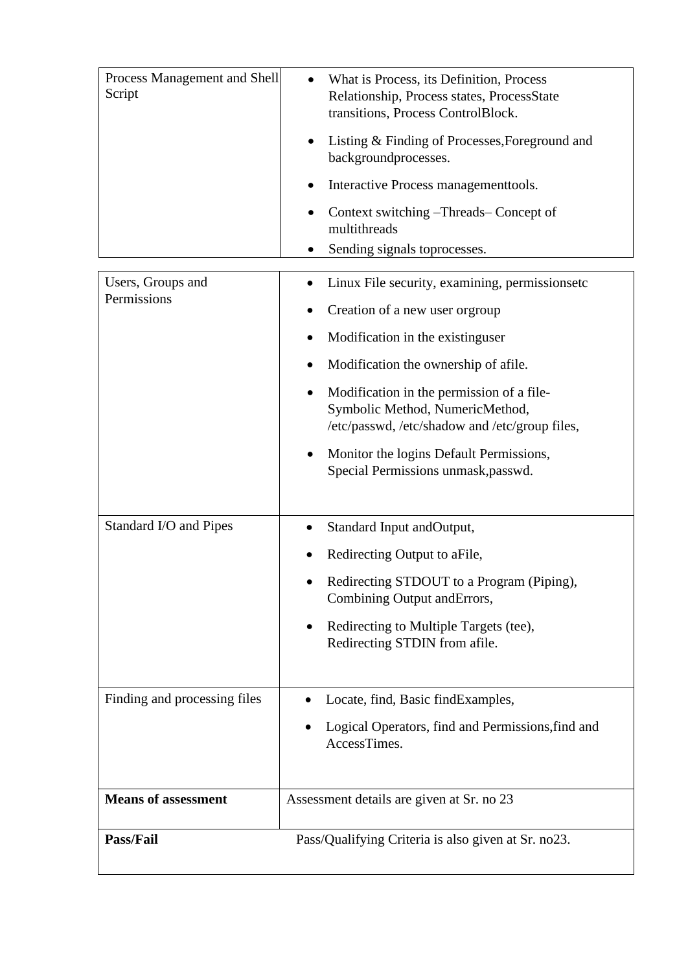| Process Management and Shell<br>Script | What is Process, its Definition, Process<br>Relationship, Process states, ProcessState<br>transitions, Process ControlBlock.<br>Listing & Finding of Processes, Foreground and<br>backgroundprocesses.<br>Interactive Process management tools.<br>Context switching –Threads– Concept of<br>multithreads<br>Sending signals toprocesses.                                                                  |
|----------------------------------------|------------------------------------------------------------------------------------------------------------------------------------------------------------------------------------------------------------------------------------------------------------------------------------------------------------------------------------------------------------------------------------------------------------|
| Users, Groups and<br>Permissions       | Linux File security, examining, permissionsetc<br>Creation of a new user orgroup<br>Modification in the existinguser<br>Modification the ownership of afile.<br>Modification in the permission of a file-<br>$\bullet$<br>Symbolic Method, NumericMethod,<br>/etc/passwd, /etc/shadow and /etc/group files,<br>Monitor the logins Default Permissions,<br>$\bullet$<br>Special Permissions unmask, passwd. |
| Standard I/O and Pipes                 | Standard Input andOutput,<br>Redirecting Output to aFile,<br>Redirecting STDOUT to a Program (Piping),<br>Combining Output and Errors,<br>Redirecting to Multiple Targets (tee),<br>٠<br>Redirecting STDIN from afile.                                                                                                                                                                                     |
| Finding and processing files           | Locate, find, Basic find Examples,<br>Logical Operators, find and Permissions, find and<br>AccessTimes.                                                                                                                                                                                                                                                                                                    |
| <b>Means of assessment</b>             | Assessment details are given at Sr. no 23                                                                                                                                                                                                                                                                                                                                                                  |
| Pass/Fail                              | Pass/Qualifying Criteria is also given at Sr. no23.                                                                                                                                                                                                                                                                                                                                                        |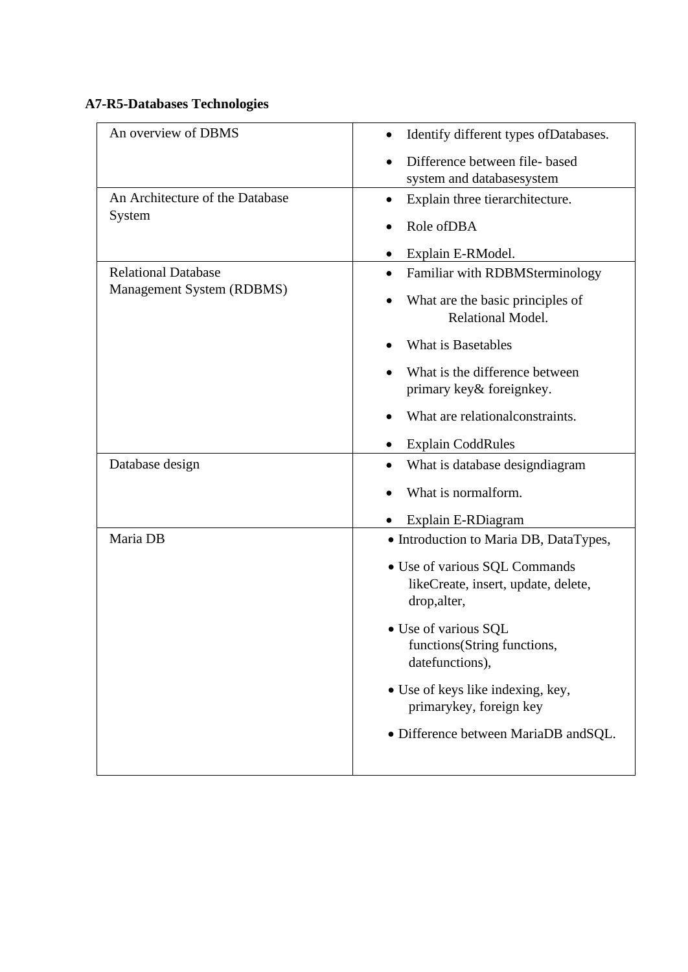### **A7-R5-Databases Technologies**

| An overview of DBMS             |                                                                                      |
|---------------------------------|--------------------------------------------------------------------------------------|
|                                 | Identify different types of Databases.                                               |
|                                 | Difference between file- based                                                       |
|                                 | system and databasesystem                                                            |
| An Architecture of the Database | Explain three tierarchitecture.<br>$\bullet$                                         |
| System                          | Role of DBA                                                                          |
|                                 | Explain E-RModel.                                                                    |
| <b>Relational Database</b>      | Familiar with RDBMSterminology                                                       |
| Management System (RDBMS)       | What are the basic principles of<br>Relational Model.                                |
|                                 | What is Basetables                                                                   |
|                                 | What is the difference between                                                       |
|                                 | primary key& foreignkey.                                                             |
|                                 | What are relational constraints.                                                     |
|                                 | <b>Explain CoddRules</b>                                                             |
| Database design                 | What is database design diagram                                                      |
|                                 | What is normalform.                                                                  |
|                                 | Explain E-RDiagram                                                                   |
| Maria DB                        | • Introduction to Maria DB, DataTypes,                                               |
|                                 | · Use of various SQL Commands<br>likeCreate, insert, update, delete,<br>drop, alter, |
|                                 | • Use of various SQL<br>functions(String functions,<br>datefunctions),               |
|                                 | • Use of keys like indexing, key,<br>primarykey, foreign key                         |
|                                 | · Difference between MariaDB andSQL.                                                 |
|                                 |                                                                                      |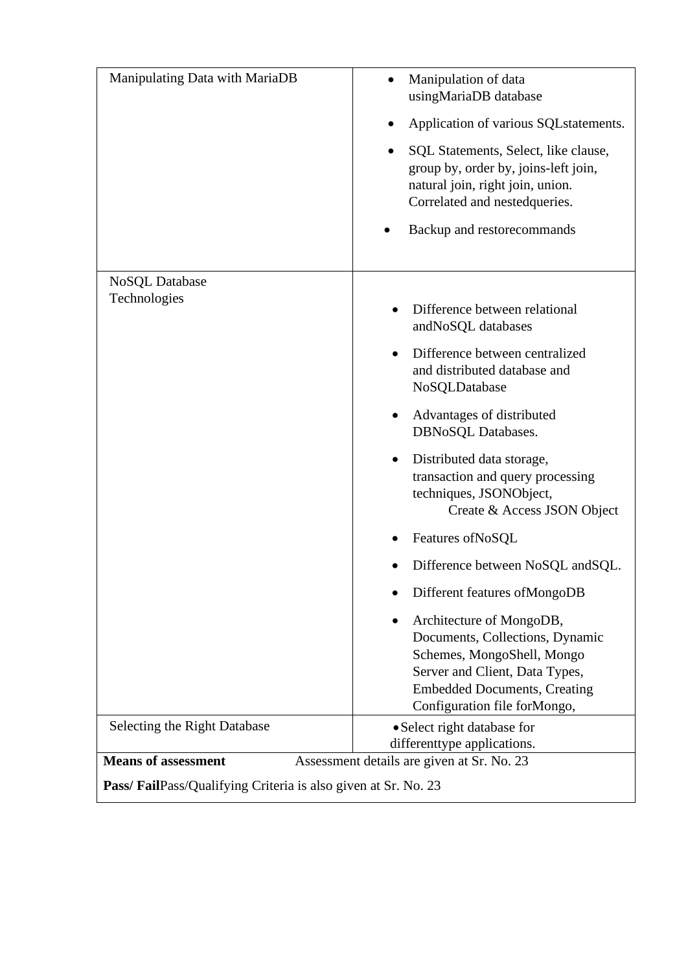| Manipulating Data with MariaDB                                | Manipulation of data<br>usingMariaDB database                                                                                                                                                      |
|---------------------------------------------------------------|----------------------------------------------------------------------------------------------------------------------------------------------------------------------------------------------------|
|                                                               | Application of various SQL statements.                                                                                                                                                             |
|                                                               | SQL Statements, Select, like clause,<br>group by, order by, joins-left join,<br>natural join, right join, union.<br>Correlated and nestedqueries.                                                  |
|                                                               | Backup and restorecommands                                                                                                                                                                         |
| <b>NoSQL</b> Database                                         |                                                                                                                                                                                                    |
| Technologies                                                  | Difference between relational<br>andNoSQL databases                                                                                                                                                |
|                                                               | Difference between centralized<br>and distributed database and<br>NoSQLDatabase                                                                                                                    |
|                                                               | Advantages of distributed<br>٠<br>DBNoSQL Databases.                                                                                                                                               |
|                                                               | Distributed data storage,<br>transaction and query processing<br>techniques, JSONObject,<br>Create & Access JSON Object                                                                            |
|                                                               | Features of NoSQL                                                                                                                                                                                  |
|                                                               | Difference between NoSQL and SQL.                                                                                                                                                                  |
|                                                               | Different features of MongoDB                                                                                                                                                                      |
|                                                               | Architecture of MongoDB,<br>Documents, Collections, Dynamic<br>Schemes, MongoShell, Mongo<br>Server and Client, Data Types,<br><b>Embedded Documents, Creating</b><br>Configuration file forMongo, |
| Selecting the Right Database                                  | • Select right database for                                                                                                                                                                        |
| <b>Means of assessment</b>                                    | differenttype applications.<br>Assessment details are given at Sr. No. 23                                                                                                                          |
| Pass/FailPass/Qualifying Criteria is also given at Sr. No. 23 |                                                                                                                                                                                                    |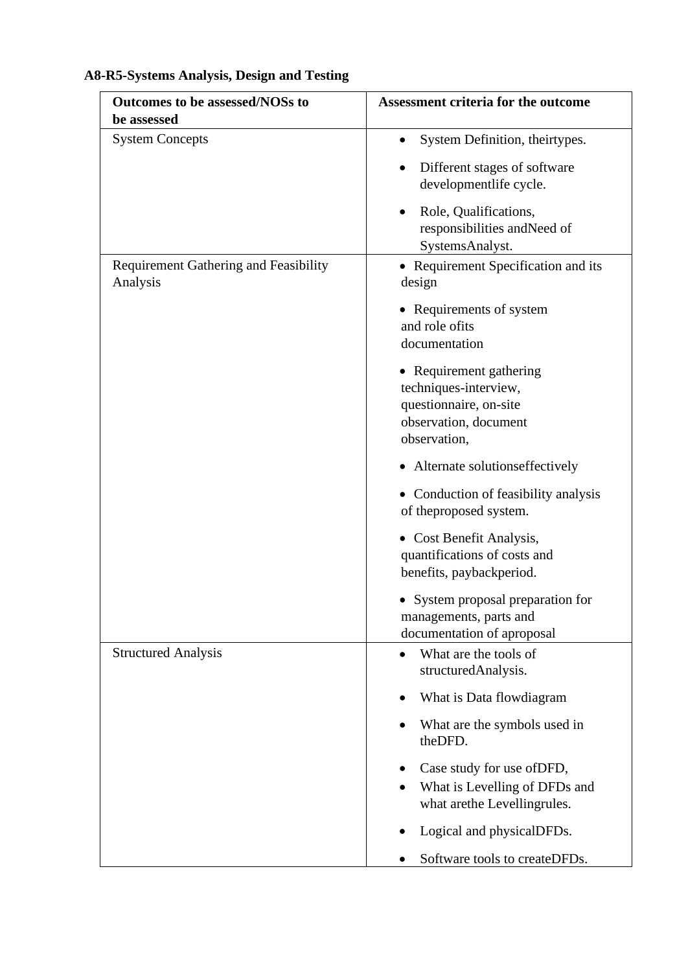# **A8-R5-Systems Analysis, Design and Testing**

| Outcomes to be assessed/NOSs to<br>be assessed           | <b>Assessment criteria for the outcome</b>                                                                          |
|----------------------------------------------------------|---------------------------------------------------------------------------------------------------------------------|
| <b>System Concepts</b>                                   | System Definition, theirtypes.<br>$\bullet$                                                                         |
|                                                          | Different stages of software<br>developmentlife cycle.                                                              |
|                                                          | Role, Qualifications,<br>responsibilities and Need of<br>SystemsAnalyst.                                            |
| <b>Requirement Gathering and Feasibility</b><br>Analysis | • Requirement Specification and its<br>design                                                                       |
|                                                          | • Requirements of system<br>and role ofits<br>documentation                                                         |
|                                                          | • Requirement gathering<br>techniques-interview,<br>questionnaire, on-site<br>observation, document<br>observation, |
|                                                          | • Alternate solutionseffectively                                                                                    |
|                                                          | • Conduction of feasibility analysis<br>of theproposed system.                                                      |
|                                                          | • Cost Benefit Analysis,<br>quantifications of costs and<br>benefits, paybackperiod.                                |
|                                                          | • System proposal preparation for<br>managements, parts and<br>documentation of aproposal                           |
| <b>Structured Analysis</b>                               | What are the tools of<br>$\bullet$<br>structuredAnalysis.                                                           |
|                                                          | What is Data flowdiagram                                                                                            |
|                                                          | What are the symbols used in<br>theDFD.                                                                             |
|                                                          | Case study for use of DFD,<br>What is Levelling of DFDs and<br>what arethe Levellingrules.                          |
|                                                          | Logical and physicalDFDs.                                                                                           |
|                                                          | Software tools to createDFDs.                                                                                       |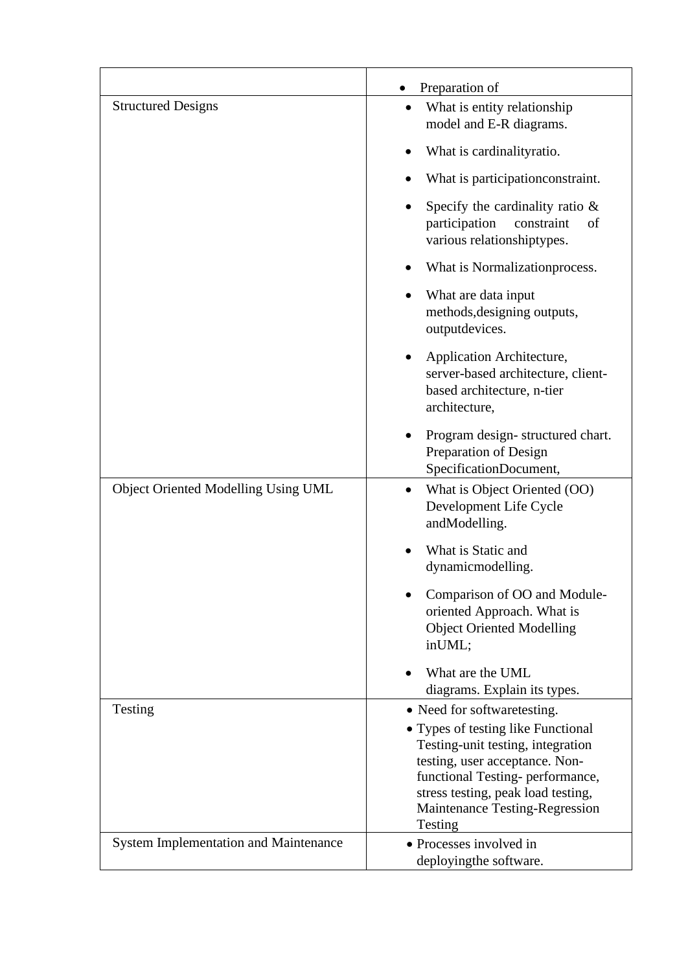|                                              | Preparation of                                                                                                                                                                                                                                                  |
|----------------------------------------------|-----------------------------------------------------------------------------------------------------------------------------------------------------------------------------------------------------------------------------------------------------------------|
| <b>Structured Designs</b>                    | What is entity relationship<br>model and E-R diagrams.                                                                                                                                                                                                          |
|                                              | What is cardinalityratio.                                                                                                                                                                                                                                       |
|                                              | What is participation constraint.                                                                                                                                                                                                                               |
|                                              | Specify the cardinality ratio $\&$<br>participation<br>constraint<br>of<br>various relationshiptypes.                                                                                                                                                           |
|                                              | What is Normalization process.                                                                                                                                                                                                                                  |
|                                              | What are data input<br>methods, designing outputs,<br>outputdevices.                                                                                                                                                                                            |
|                                              | Application Architecture,<br>$\bullet$<br>server-based architecture, client-<br>based architecture, n-tier<br>architecture,                                                                                                                                     |
|                                              | Program design-structured chart.<br>Preparation of Design<br>SpecificationDocument,                                                                                                                                                                             |
| Object Oriented Modelling Using UML          | What is Object Oriented (OO)<br>٠<br>Development Life Cycle<br>andModelling.                                                                                                                                                                                    |
|                                              | What is Static and<br>dynamicmodelling.                                                                                                                                                                                                                         |
|                                              | Comparison of OO and Module-<br>oriented Approach. What is<br><b>Object Oriented Modelling</b><br>inUML;                                                                                                                                                        |
|                                              | What are the UML<br>diagrams. Explain its types.                                                                                                                                                                                                                |
| Testing                                      | • Need for softwaretesting.<br>• Types of testing like Functional<br>Testing-unit testing, integration<br>testing, user acceptance. Non-<br>functional Testing- performance,<br>stress testing, peak load testing,<br>Maintenance Testing-Regression<br>Testing |
| <b>System Implementation and Maintenance</b> | • Processes involved in<br>deployingthe software.                                                                                                                                                                                                               |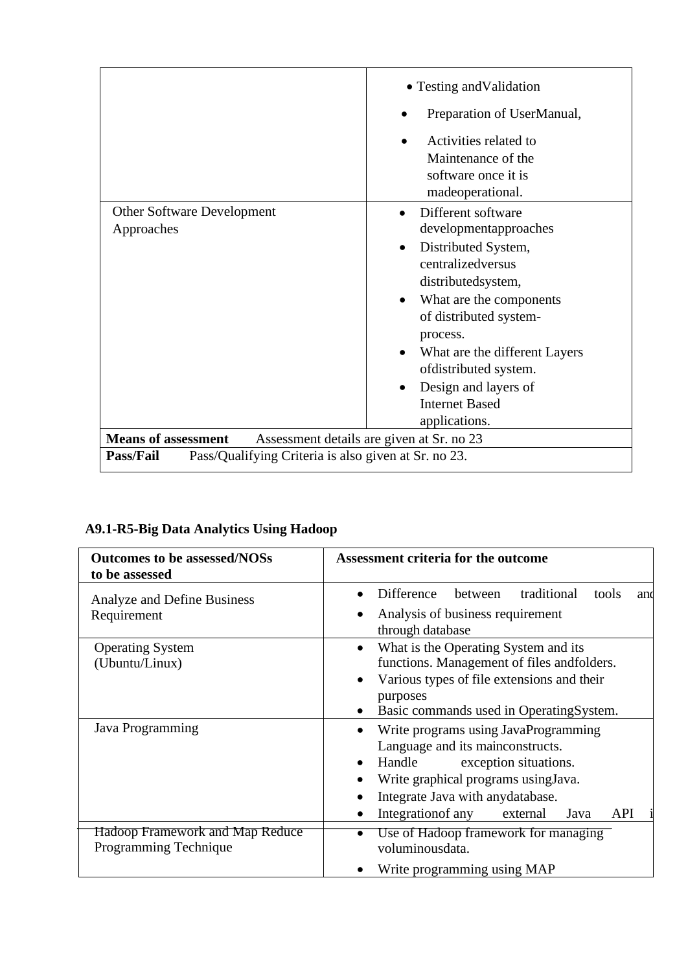|                                                                          | • Testing and Validation<br>Preparation of UserManual,<br>Activities related to<br>Maintenance of the<br>software once it is<br>madeoperational.                                                                                                                                                           |
|--------------------------------------------------------------------------|------------------------------------------------------------------------------------------------------------------------------------------------------------------------------------------------------------------------------------------------------------------------------------------------------------|
| Other Software Development<br>Approaches                                 | Different software<br>developmentapproaches<br>Distributed System,<br>centralizedversus<br>distributedsystem,<br>What are the components<br>of distributed system-<br>process.<br>What are the different Layers<br>ofdistributed system.<br>Design and layers of<br><b>Internet Based</b><br>applications. |
| <b>Means of assessment</b>                                               | Assessment details are given at Sr. no 23                                                                                                                                                                                                                                                                  |
| <b>Pass/Fail</b><br>Pass/Qualifying Criteria is also given at Sr. no 23. |                                                                                                                                                                                                                                                                                                            |

# **A9.1-R5-Big Data Analytics Using Hadoop**

| <b>Outcomes to be assessed/NOSs</b><br>to be assessed           | <b>Assessment criteria for the outcome</b>                                                                                                                                                                                                                                |
|-----------------------------------------------------------------|---------------------------------------------------------------------------------------------------------------------------------------------------------------------------------------------------------------------------------------------------------------------------|
| Analyze and Define Business<br>Requirement                      | traditional<br>Difference<br>between<br>tools<br>and<br>Analysis of business requirement<br>through database                                                                                                                                                              |
| <b>Operating System</b><br>(Ubuntu/Linux)                       | What is the Operating System and its<br>$\bullet$<br>functions. Management of files andfolders.<br>Various types of file extensions and their<br>$\bullet$<br>purposes<br>Basic commands used in OperatingSystem.                                                         |
| Java Programming                                                | Write programs using JavaProgramming<br>$\bullet$<br>Language and its mainconstructs.<br>Handle<br>exception situations.<br>$\bullet$<br>Write graphical programs using Java.<br>Integrate Java with anydatabase.<br>Integration of any<br><b>API</b><br>Java<br>external |
| <b>Hadoop Framework and Map Reduce</b><br>Programming Technique | Use of Hadoop framework for managing<br>voluminousdata.                                                                                                                                                                                                                   |
|                                                                 | Write programming using MAP<br>$\bullet$                                                                                                                                                                                                                                  |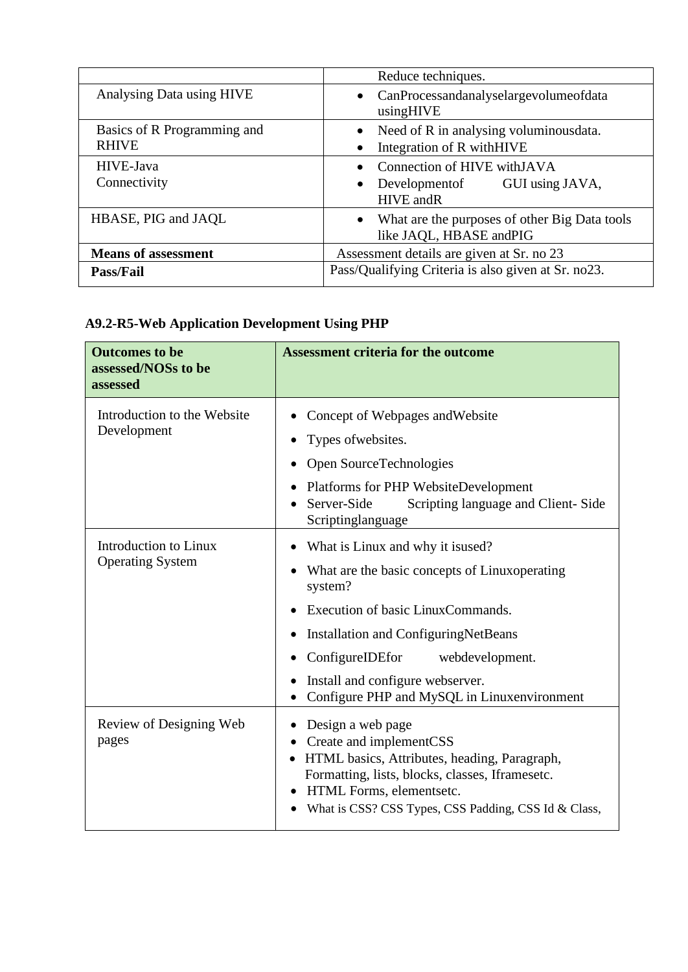|                             | Reduce techniques.                                                                    |
|-----------------------------|---------------------------------------------------------------------------------------|
| Analysing Data using HIVE   | CanProcessandanalyselargevolumeofdata<br>$\bullet$<br>usingHIVE                       |
| Basics of R Programming and | Need of R in analysing voluminous data.<br>$\bullet$                                  |
| <b>RHIVE</b>                | Integration of R with HIVE<br>$\bullet$                                               |
| HIVE-Java                   | Connection of HIVE with JAVA                                                          |
| Connectivity                | GUI using JAVA,<br>Development of<br><b>HIVE</b> andR                                 |
| HBASE, PIG and JAQL         | What are the purposes of other Big Data tools<br>$\bullet$<br>like JAQL, HBASE andPIG |
| <b>Means of assessment</b>  | Assessment details are given at Sr. no 23                                             |
| <b>Pass/Fail</b>            | Pass/Qualifying Criteria is also given at Sr. no23.                                   |

# **A9.2-R5-Web Application Development Using PHP**

| <b>Outcomes to be</b><br>assessed/NOSs to be<br>assessed | <b>Assessment criteria for the outcome</b>                                                                                                                                                                                                                                                               |
|----------------------------------------------------------|----------------------------------------------------------------------------------------------------------------------------------------------------------------------------------------------------------------------------------------------------------------------------------------------------------|
| Introduction to the Website<br>Development               | Concept of Webpages and Website<br>Types of websites.<br>Open SourceTechnologies<br>Platforms for PHP WebsiteDevelopment<br>Scripting language and Client-Side<br>Server-Side<br>Scriptinglanguage                                                                                                       |
| <b>Introduction to Linux</b><br><b>Operating System</b>  | What is Linux and why it is used?<br>What are the basic concepts of Linuxoperating<br>system?<br>Execution of basic LinuxCommands.<br>Installation and ConfiguringNetBeans<br>ConfigureIDEfor<br>webdevelopment.<br>٠<br>Install and configure webserver.<br>Configure PHP and MySQL in Linuxenvironment |
| Review of Designing Web<br>pages                         | Design a web page<br>Create and implementCSS<br>$\bullet$<br>HTML basics, Attributes, heading, Paragraph,<br>$\bullet$<br>Formatting, lists, blocks, classes, Iframesetc.<br>HTML Forms, elementsetc.<br>What is CSS? CSS Types, CSS Padding, CSS Id & Class,                                            |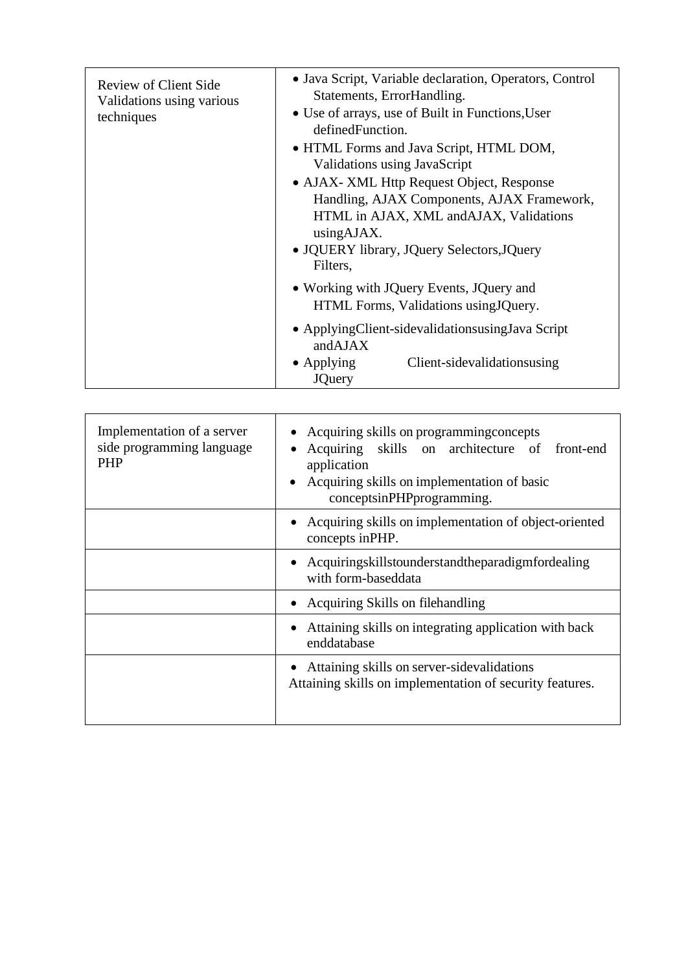| <b>Review of Client Side</b><br>Validations using various<br>techniques | • Java Script, Variable declaration, Operators, Control<br>Statements, ErrorHandling.<br>• Use of arrays, use of Built in Functions, User<br>defined Function.<br>• HTML Forms and Java Script, HTML DOM,<br>Validations using JavaScript<br>• AJAX- XML Http Request Object, Response<br>Handling, AJAX Components, AJAX Framework,<br>HTML in AJAX, XML and AJAX, Validations<br>using AJAX.<br>· JQUERY library, JQuery Selectors, JQuery<br>Filters, |
|-------------------------------------------------------------------------|----------------------------------------------------------------------------------------------------------------------------------------------------------------------------------------------------------------------------------------------------------------------------------------------------------------------------------------------------------------------------------------------------------------------------------------------------------|
|                                                                         | • Working with JQuery Events, JQuery and<br>HTML Forms, Validations using JQuery.                                                                                                                                                                                                                                                                                                                                                                        |
|                                                                         | • Applying Client-sidevalidation susing Java Script<br>andAJAX                                                                                                                                                                                                                                                                                                                                                                                           |
|                                                                         | Client-sidevalidationsusing<br>$\bullet$ Applying<br><b>JQuery</b>                                                                                                                                                                                                                                                                                                                                                                                       |

| Implementation of a server<br>side programming language<br><b>PHP</b> | • Acquiring skills on programming concepts<br>Acquiring skills on architecture of front-end<br>application<br>Acquiring skills on implementation of basic<br>conceptsinPHPprogramming. |
|-----------------------------------------------------------------------|----------------------------------------------------------------------------------------------------------------------------------------------------------------------------------------|
|                                                                       | • Acquiring skills on implementation of object-oriented<br>concepts inPHP.                                                                                                             |
|                                                                       | • Acquiringskillstounderstandtheparadigmfordealing<br>with form-baseddata                                                                                                              |
|                                                                       | • Acquiring Skills on filehandling                                                                                                                                                     |
|                                                                       | Attaining skills on integrating application with back<br>enddatabase                                                                                                                   |
|                                                                       | Attaining skills on server-sidevalidations<br>Attaining skills on implementation of security features.                                                                                 |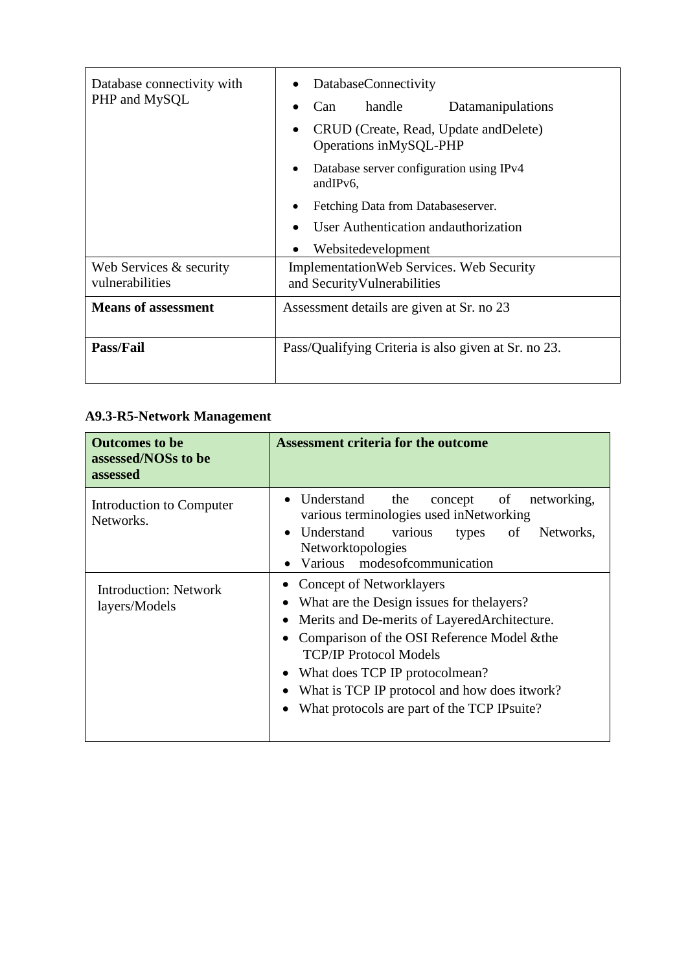| Database connectivity with<br>PHP and MySQL  | <b>DatabaseConnectivity</b><br>handle<br>Datamanipulations<br>Can<br>CRUD (Create, Read, Update and Delete)<br>$\bullet$<br>Operations inMySQL-PHP<br>Database server configuration using IPv4<br>andIPv6,<br>Fetching Data from Databases erver.<br>User Authentication and authorization<br>Websitedevelopment |
|----------------------------------------------|------------------------------------------------------------------------------------------------------------------------------------------------------------------------------------------------------------------------------------------------------------------------------------------------------------------|
| Web Services $&$ security<br>vulnerabilities | <b>Implementation Web Services. Web Security</b><br>and Security Vulnerabilities                                                                                                                                                                                                                                 |
| <b>Means of assessment</b>                   | Assessment details are given at Sr. no 23                                                                                                                                                                                                                                                                        |
| <b>Pass/Fail</b>                             | Pass/Qualifying Criteria is also given at Sr. no 23.                                                                                                                                                                                                                                                             |

### **A9.3-R5-Network Management**

| <b>Outcomes to be</b><br>assessed/NOSs to be<br>assessed | <b>Assessment criteria for the outcome</b>                                                                                                                                                                                                                                                                                                                   |
|----------------------------------------------------------|--------------------------------------------------------------------------------------------------------------------------------------------------------------------------------------------------------------------------------------------------------------------------------------------------------------------------------------------------------------|
| Introduction to Computer<br>Networks.                    | Understand<br>the<br>concept<br>of<br>networking,<br>various terminologies used inNetworking<br>Understand<br>various<br>of<br>types<br>Networks,<br>Networktopologies<br>Various modes of communication                                                                                                                                                     |
| Introduction: Network<br>layers/Models                   | <b>Concept of Networklayers</b><br>$\bullet$<br>What are the Design issues for the layers?<br>Merits and De-merits of Layered Architecture.<br>Comparison of the OSI Reference Model & the<br><b>TCP/IP Protocol Models</b><br>What does TCP IP protocolmean?<br>What is TCP IP protocol and how does itwork?<br>What protocols are part of the TCP IPsuite? |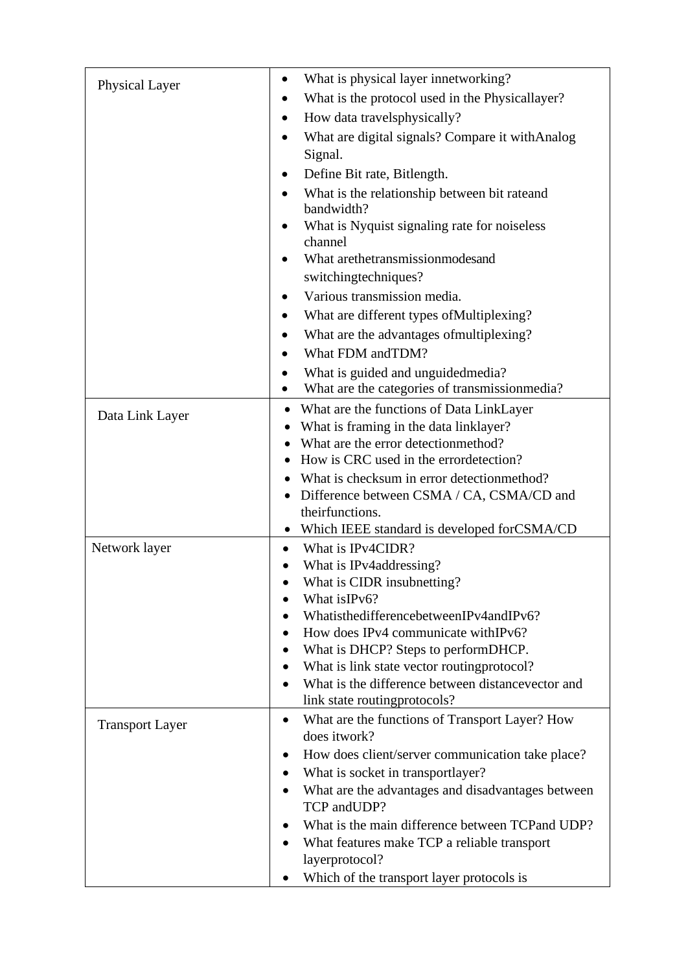| Physical Layer         | What is physical layer innetworking?                                        |
|------------------------|-----------------------------------------------------------------------------|
|                        | What is the protocol used in the Physicallayer?                             |
|                        | How data travelsphysically?                                                 |
|                        | What are digital signals? Compare it with Analog                            |
|                        | Signal.                                                                     |
|                        | Define Bit rate, Bitlength.                                                 |
|                        | What is the relationship between bit rateand                                |
|                        | bandwidth?                                                                  |
|                        | What is Nyquist signaling rate for noiseless                                |
|                        | channel                                                                     |
|                        | What arethetransmissionmodesand                                             |
|                        | switchingtechniques?                                                        |
|                        | Various transmission media.                                                 |
|                        | What are different types of Multiplexing?                                   |
|                        | What are the advantages of multiplexing?                                    |
|                        | What FDM andTDM?                                                            |
|                        | What is guided and unguided media?                                          |
|                        | What are the categories of transmissionmedia?<br>$\bullet$                  |
| Data Link Layer        | What are the functions of Data LinkLayer<br>٠                               |
|                        | What is framing in the data linklayer?                                      |
|                        | What are the error detectionmethod?                                         |
|                        | How is CRC used in the errordetection?                                      |
|                        | What is checksum in error detectionmethod?                                  |
|                        | Difference between CSMA / CA, CSMA/CD and<br>theirfunctions.                |
|                        | Which IEEE standard is developed for CSMA/CD                                |
| Network layer          | What is IPv4CIDR?<br>$\bullet$                                              |
|                        | What is IPv4addressing?                                                     |
|                        | What is CIDR insubnetting?                                                  |
|                        | What is IPv6?                                                               |
|                        | WhatisthedifferencebetweenIPv4andIPv6?                                      |
|                        | How does IPv4 communicate withIPv6?                                         |
|                        | What is DHCP? Steps to performDHCP.                                         |
|                        | What is link state vector routing protocol?                                 |
|                        | What is the difference between distancevector and                           |
|                        | link state routingprotocols?                                                |
| <b>Transport Layer</b> | What are the functions of Transport Layer? How<br>$\bullet$<br>does itwork? |
|                        | How does client/server communication take place?                            |
|                        | What is socket in transportlayer?                                           |
|                        | What are the advantages and disadvantages between                           |
|                        | TCP andUDP?                                                                 |
|                        | What is the main difference between TCPand UDP?                             |
|                        | What features make TCP a reliable transport                                 |
|                        | layerprotocol?                                                              |
|                        | Which of the transport layer protocols is                                   |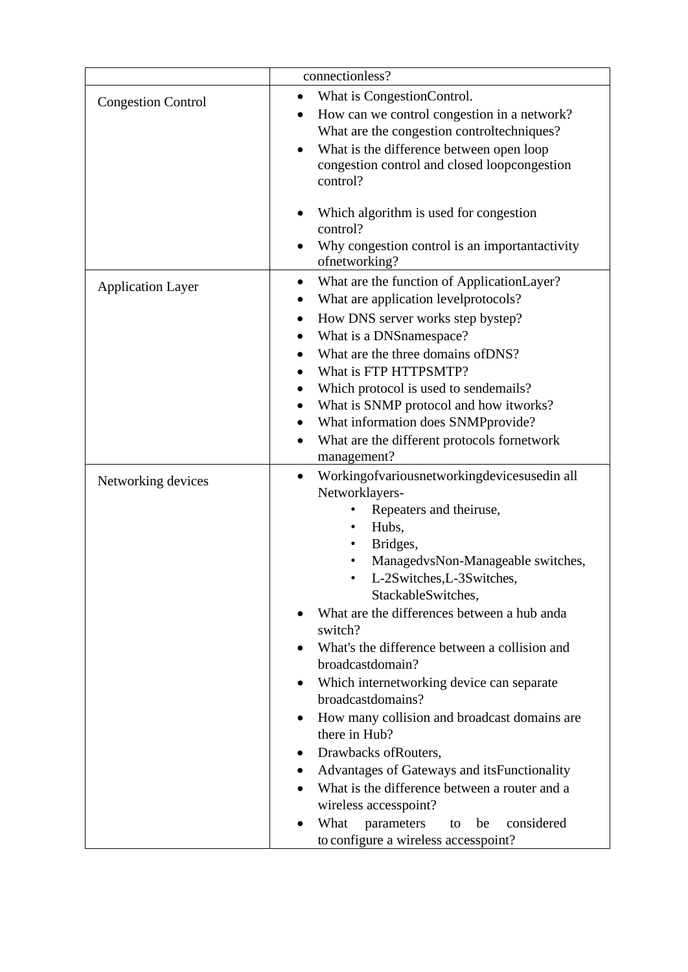|                           | connectionless?                                                                                                                                                                                                                                                                                                                                                                                                                                                                                                                                                                                                                                                                                                                 |
|---------------------------|---------------------------------------------------------------------------------------------------------------------------------------------------------------------------------------------------------------------------------------------------------------------------------------------------------------------------------------------------------------------------------------------------------------------------------------------------------------------------------------------------------------------------------------------------------------------------------------------------------------------------------------------------------------------------------------------------------------------------------|
| <b>Congestion Control</b> | What is CongestionControl.<br>٠<br>How can we control congestion in a network?<br>What are the congestion controltechniques?<br>What is the difference between open loop<br>congestion control and closed loopcongestion<br>control?                                                                                                                                                                                                                                                                                                                                                                                                                                                                                            |
|                           | Which algorithm is used for congestion<br>control?<br>Why congestion control is an important activity<br>ofnetworking?                                                                                                                                                                                                                                                                                                                                                                                                                                                                                                                                                                                                          |
| <b>Application Layer</b>  | What are the function of ApplicationLayer?<br>What are application levelprotocols?<br>How DNS server works step bystep?<br>٠<br>What is a DNSnamespace?<br>What are the three domains of DNS?<br>What is FTP HTTPSMTP?<br>Which protocol is used to sendemails?<br>What is SNMP protocol and how itworks?<br>What information does SNMPprovide?<br>What are the different protocols fornetwork<br>management?                                                                                                                                                                                                                                                                                                                   |
| Networking devices        | Workingofvariousnetworkingdevicesusedin all<br>$\bullet$<br>Networklayers-<br>Repeaters and theiruse,<br>Hubs,<br>Bridges,<br>ManagedvsNon-Manageable switches,<br>L-2Switches, L-3Switches,<br>StackableSwitches,<br>What are the differences between a hub anda<br>switch?<br>What's the difference between a collision and<br>broadcastdomain?<br>Which internetworking device can separate<br>broadcastdomains?<br>How many collision and broadcast domains are<br>there in Hub?<br>Drawbacks of Routers,<br>Advantages of Gateways and its Functionality<br>What is the difference between a router and a<br>wireless accesspoint?<br>What<br>parameters<br>considered<br>be<br>to<br>to configure a wireless accesspoint? |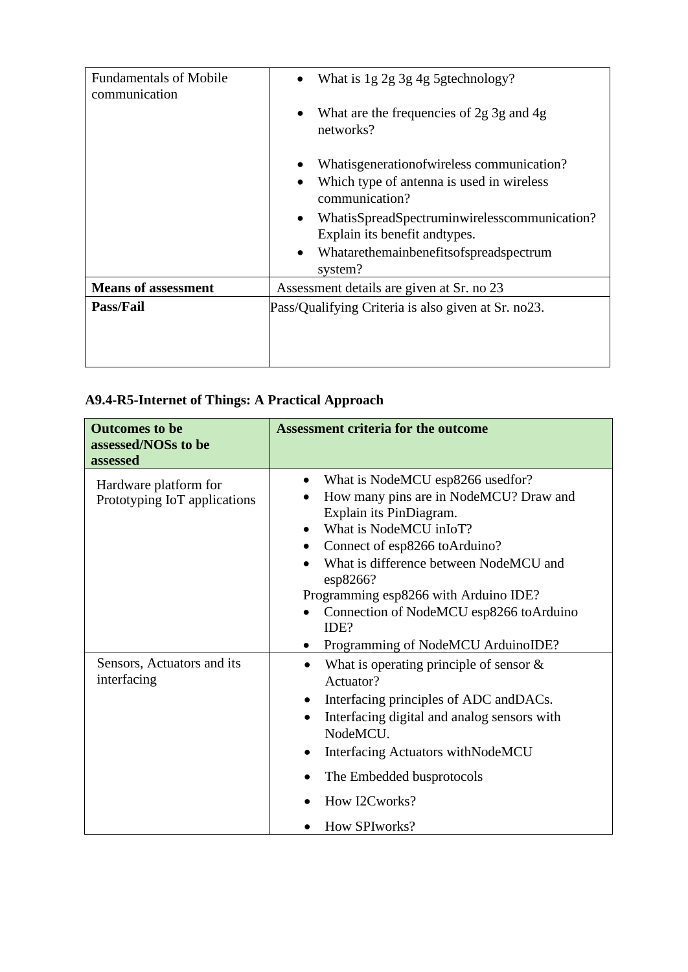| <b>Fundamentals of Mobile</b><br>communication | What is 1g 2g 3g 4g 5gtechnology?                                                           |
|------------------------------------------------|---------------------------------------------------------------------------------------------|
|                                                | What are the frequencies of 2g 3g and 4g<br>networks?                                       |
|                                                | Whatisgeneration of wireless communication?                                                 |
|                                                | Which type of antenna is used in wireless<br>communication?                                 |
|                                                | WhatisSpreadSpectruminwirelesscommunication?<br>$\bullet$<br>Explain its benefit and types. |
|                                                | Whatarethemainbenefitsofspreadspectrum<br>$\bullet$<br>system?                              |
| <b>Means of assessment</b>                     | Assessment details are given at Sr. no 23                                                   |
| <b>Pass/Fail</b>                               | Pass/Qualifying Criteria is also given at Sr. no23.                                         |

# **A9.4-R5-Internet of Things: A Practical Approach**

| <b>Outcomes to be</b><br>assessed/NOSs to be<br>assessed | <b>Assessment criteria for the outcome</b>                                                                                                                                                                                                                                                                                                                                         |
|----------------------------------------------------------|------------------------------------------------------------------------------------------------------------------------------------------------------------------------------------------------------------------------------------------------------------------------------------------------------------------------------------------------------------------------------------|
| Hardware platform for<br>Prototyping IoT applications    | What is NodeMCU esp8266 usedfor?<br>$\bullet$<br>How many pins are in NodeMCU? Draw and<br>$\bullet$<br>Explain its PinDiagram.<br>What is NodeMCU inIoT?<br>Connect of esp8266 toArduino?<br>What is difference between NodeMCU and<br>esp8266?<br>Programming esp8266 with Arduino IDE?<br>Connection of NodeMCU esp8266 toArduino<br>IDE?<br>Programming of NodeMCU ArduinoIDE? |
| Sensors, Actuators and its<br>interfacing                | What is operating principle of sensor $\&$<br>$\bullet$<br>Actuator?<br>Interfacing principles of ADC and DACs.<br>Interfacing digital and analog sensors with<br>$\bullet$<br>NodeMCU.<br>Interfacing Actuators withNodeMCU<br>The Embedded busprotocols<br>How I2Cworks?<br>How SPIworks?                                                                                        |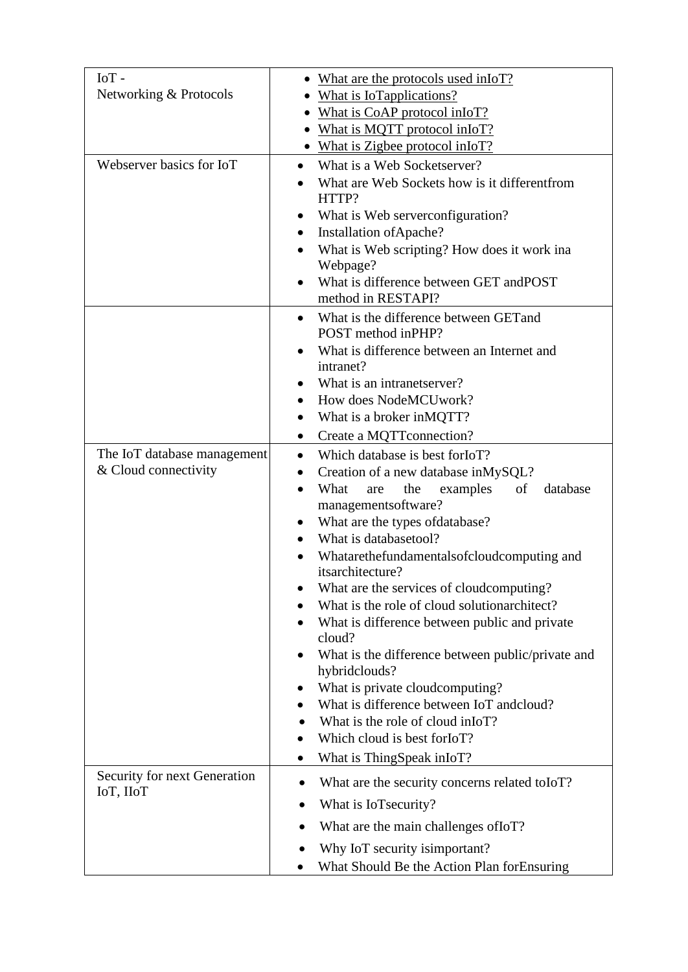| IoT-                                      | • What are the protocols used in IoT?                                     |
|-------------------------------------------|---------------------------------------------------------------------------|
| Networking & Protocols                    | What is IoTapplications?                                                  |
|                                           | What is CoAP protocol inIoT?                                              |
|                                           | What is MQTT protocol inIoT?                                              |
|                                           | • What is Zigbee protocol in IoT?                                         |
| Webserver basics for IoT                  | What is a Web Socketserver?                                               |
|                                           | What are Web Sockets how is it different from                             |
|                                           | HTTP?                                                                     |
|                                           | What is Web serverconfiguration?                                          |
|                                           | Installation of Apache?<br>$\bullet$                                      |
|                                           | What is Web scripting? How does it work ina<br>$\bullet$                  |
|                                           | Webpage?                                                                  |
|                                           | What is difference between GET andPOST                                    |
|                                           | method in RESTAPI?                                                        |
|                                           | What is the difference between GET and<br>$\bullet$<br>POST method inPHP? |
|                                           | What is difference between an Internet and                                |
|                                           | intranet?                                                                 |
|                                           | What is an intranetserver?                                                |
|                                           | How does NodeMCUwork?                                                     |
|                                           | What is a broker in MQTT?                                                 |
|                                           | Create a MQTTconnection?<br>$\bullet$                                     |
| The IoT database management               | Which database is best for IoT?<br>$\bullet$                              |
| & Cloud connectivity                      | Creation of a new database inMySQL?                                       |
|                                           | of<br>database<br>What<br>examples<br>the<br>are<br>managementsoftware?   |
|                                           | What are the types of database?                                           |
|                                           | What is databasetool?                                                     |
|                                           | Whatarethefundamentalsofcloudcomputing and<br>itsarchitecture?            |
|                                           | What are the services of cloudcomputing?                                  |
|                                           | What is the role of cloud solutionarchitect?                              |
|                                           | What is difference between public and private<br>cloud?                   |
|                                           | What is the difference between public/private and<br>$\bullet$            |
|                                           | hybridclouds?                                                             |
|                                           | What is private cloudcomputing?                                           |
|                                           | What is difference between IoT andcloud?                                  |
|                                           | What is the role of cloud in IoT?                                         |
|                                           | Which cloud is best for IoT?                                              |
|                                           | What is ThingSpeak inIoT?<br>$\bullet$                                    |
| Security for next Generation<br>IoT, IIoT | What are the security concerns related to IoT?                            |
|                                           | What is IoTsecurity?                                                      |
|                                           | What are the main challenges of IoT?                                      |
|                                           | Why IoT security isimportant?                                             |
|                                           | What Should Be the Action Plan forEnsuring                                |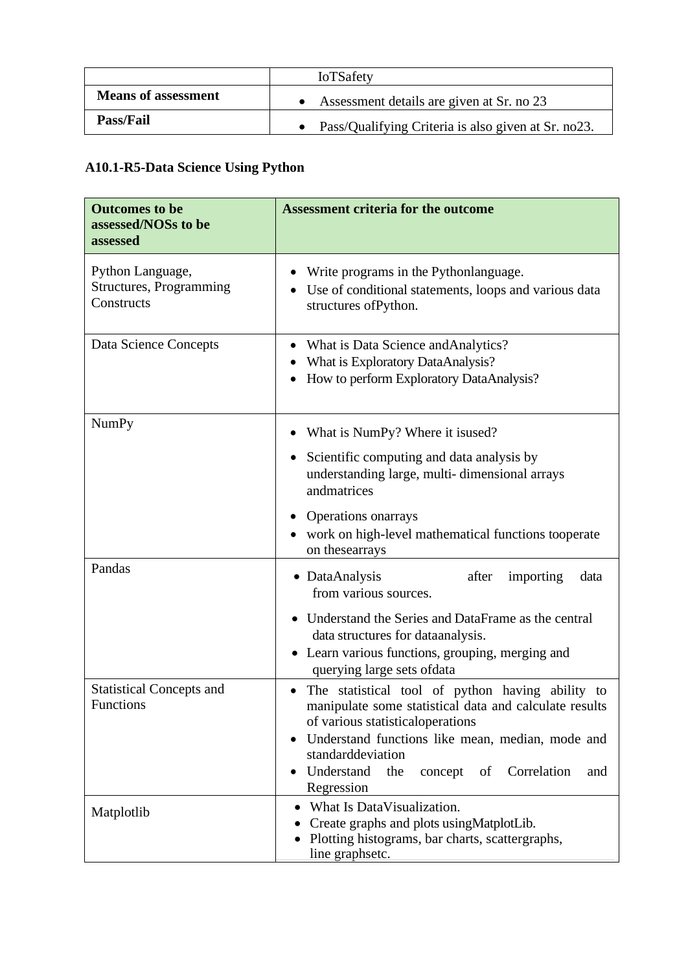|                            | <b>IoTSafety</b>                                    |
|----------------------------|-----------------------------------------------------|
| <b>Means of assessment</b> | Assessment details are given at Sr. no 23           |
| <b>Pass/Fail</b>           | Pass/Qualifying Criteria is also given at Sr. no23. |

# **A10.1-R5-Data Science Using Python**

| <b>Outcomes to be</b><br>assessed/NOSs to be<br>assessed  | <b>Assessment criteria for the outcome</b>                                                                                                                                                                                                                                                                   |
|-----------------------------------------------------------|--------------------------------------------------------------------------------------------------------------------------------------------------------------------------------------------------------------------------------------------------------------------------------------------------------------|
| Python Language,<br>Structures, Programming<br>Constructs | Write programs in the Pythonlanguage.<br>Use of conditional statements, loops and various data<br>structures ofPython.                                                                                                                                                                                       |
| Data Science Concepts                                     | What is Data Science and Analytics?<br>What is Exploratory DataAnalysis?<br>How to perform Exploratory DataAnalysis?                                                                                                                                                                                         |
| <b>NumPy</b>                                              | What is NumPy? Where it is used?<br>Scientific computing and data analysis by<br>$\bullet$<br>understanding large, multi-dimensional arrays<br>andmatrices<br>Operations on arrays<br>work on high-level mathematical functions tooperate<br>on these arrays                                                 |
| Pandas                                                    | DataAnalysis<br>after<br>importing<br>data<br>$\bullet$<br>from various sources.<br>Understand the Series and DataFrame as the central<br>data structures for dataanalysis.<br>• Learn various functions, grouping, merging and<br>querying large sets ofdata                                                |
| <b>Statistical Concepts and</b><br>Functions              | The statistical tool of python having ability to<br>$\bullet$<br>manipulate some statistical data and calculate results<br>of various statistical operations<br>Understand functions like mean, median, mode and<br>standarddeviation<br>Understand<br>Correlation<br>the<br>concept of<br>and<br>Regression |
| Matplotlib                                                | What Is DataVisualization.<br>Create graphs and plots using MatplotLib.<br>Plotting histograms, bar charts, scattergraphs,<br>line graphsetc.                                                                                                                                                                |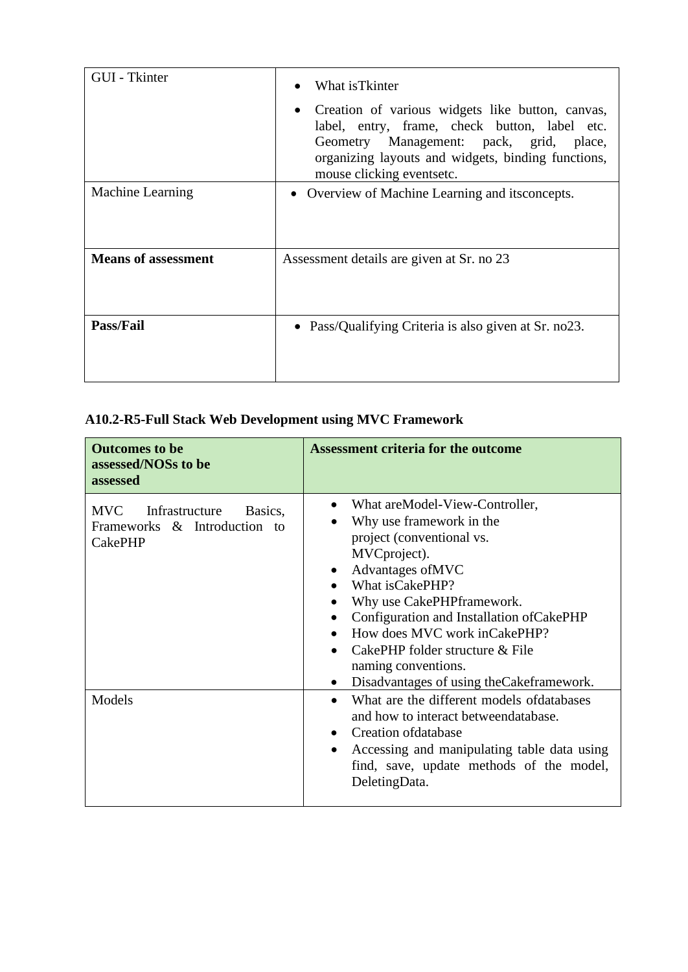| GUI - Tkinter              | What is Tkinter                                                                                                                                                                                                                 |
|----------------------------|---------------------------------------------------------------------------------------------------------------------------------------------------------------------------------------------------------------------------------|
|                            | Creation of various widgets like button, canvas,<br>label, entry, frame, check button, label etc.<br>Geometry Management: pack, grid, place,<br>organizing layouts and widgets, binding functions,<br>mouse clicking eventsetc. |
| <b>Machine Learning</b>    | • Overview of Machine Learning and its concepts.                                                                                                                                                                                |
|                            |                                                                                                                                                                                                                                 |
| <b>Means of assessment</b> | Assessment details are given at Sr. no 23                                                                                                                                                                                       |
| <b>Pass/Fail</b>           | • Pass/Qualifying Criteria is also given at Sr. no23.                                                                                                                                                                           |

# **A10.2-R5-Full Stack Web Development using MVC Framework**

| <b>Outcomes to be</b><br>assessed/NOSs to be<br>assessed                                  | <b>Assessment criteria for the outcome</b>                                                                                                                                                                                                                                                                                                                                       |
|-------------------------------------------------------------------------------------------|----------------------------------------------------------------------------------------------------------------------------------------------------------------------------------------------------------------------------------------------------------------------------------------------------------------------------------------------------------------------------------|
| Infrastructure<br><b>MVC</b><br>Basics,<br>Frameworks & Introduction to<br><b>CakePHP</b> | What are Model-View-Controller,<br>Why use framework in the<br>project (conventional vs.<br>MVCproject).<br>Advantages of MVC<br>What isCakePHP?<br>Why use CakePHPframework.<br>Configuration and Installation of CakePHP<br>How does MVC work in Cake PHP?<br>CakePHP folder structure & File<br>naming conventions.<br>Disadvantages of using the Cakeframework.<br>$\bullet$ |
| Models                                                                                    | What are the different models of databases<br>and how to interact betweendatabase.<br>Creation of database<br>Accessing and manipulating table data using<br>find, save, update methods of the model,<br>DeletingData.                                                                                                                                                           |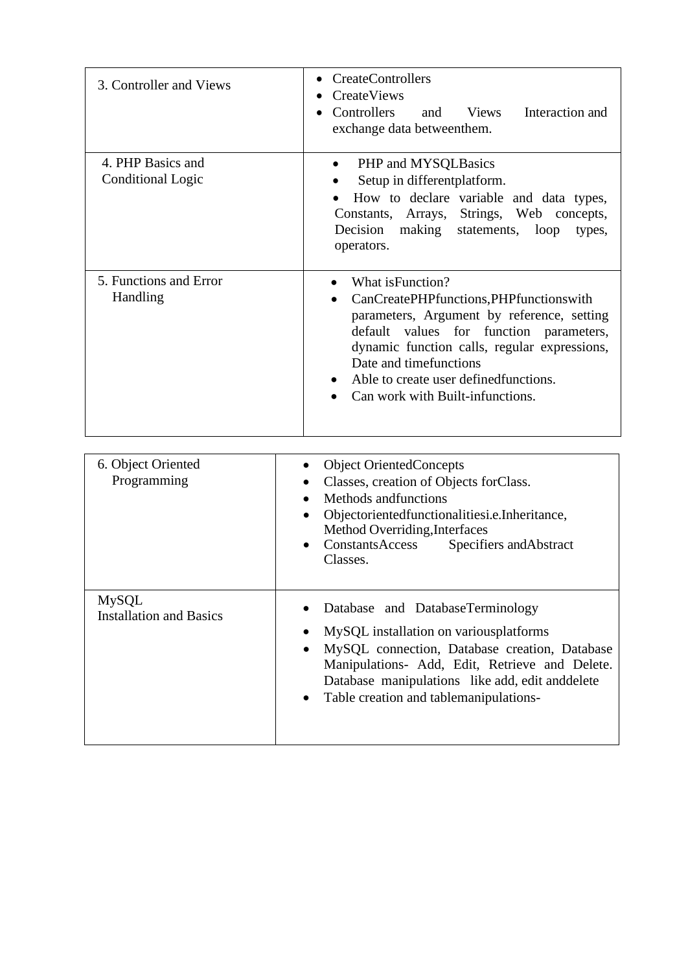| 3. Controller and Views                        | <b>CreateControllers</b><br>٠<br><b>CreateViews</b><br>Controllers<br>and Views<br>Interaction and<br>exchange data betweenthem.                                                                                                                                                                                |
|------------------------------------------------|-----------------------------------------------------------------------------------------------------------------------------------------------------------------------------------------------------------------------------------------------------------------------------------------------------------------|
| 4. PHP Basics and<br><b>Conditional Logic</b>  | PHP and MYSQLBasics<br>Setup in different platform.<br>How to declare variable and data types,<br>Constants, Arrays, Strings, Web<br>concepts,<br>Decision<br>making<br>statements, loop<br>types,<br>operators.                                                                                                |
| 5. Functions and Error<br>Handling             | What is Function?<br>CanCreatePHPfunctions,PHPfunctionswith<br>parameters, Argument by reference, setting<br>default values for function<br>parameters,<br>dynamic function calls, regular expressions,<br>Date and timefunctions<br>Able to create user defined functions.<br>Can work with Built-infunctions. |
| 6. Object Oriented<br>Programming              | <b>Object OrientedConcepts</b><br>$\bullet$<br>Classes, creation of Objects forClass.<br>Methods andfunctions<br>Objectorientedfunctionalitiesi.e.Inheritance,<br>Method Overriding, Interfaces<br>ConstantsAccess<br>Specifiers and Abstract<br>Classes.                                                       |
| <b>MySQL</b><br><b>Installation and Basics</b> | Database and DatabaseTerminology<br>MySQL installation on variousplatforms<br>MySQL connection, Database creation, Database<br>Manipulations- Add, Edit, Retrieve and Delete.<br>Database manipulations like add, edit and delete<br>Table creation and tablemanipulations-                                     |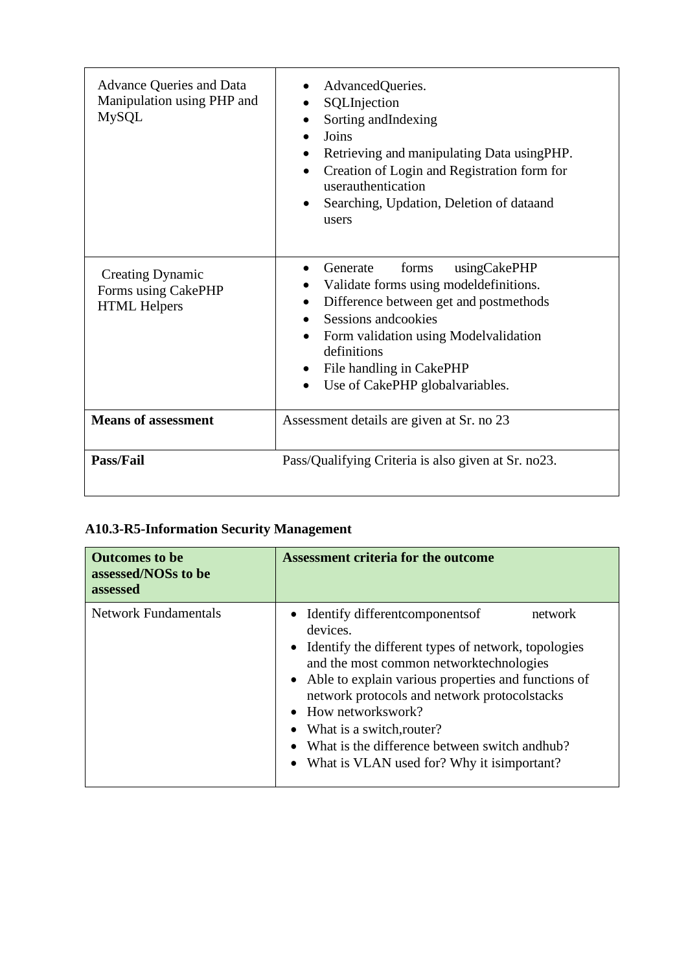| <b>Advance Queries and Data</b><br>Manipulation using PHP and<br><b>MySQL</b> | AdvancedQueries.<br>SQLInjection<br>Sorting and Indexing<br>Joins<br>Retrieving and manipulating Data using PHP.<br>$\bullet$<br>Creation of Login and Registration form for<br>$\bullet$<br>userauthentication<br>Searching, Updation, Deletion of dataand<br>$\bullet$<br>users               |
|-------------------------------------------------------------------------------|-------------------------------------------------------------------------------------------------------------------------------------------------------------------------------------------------------------------------------------------------------------------------------------------------|
| <b>Creating Dynamic</b><br>Forms using CakePHP<br><b>HTML Helpers</b>         | forms<br>usingCakePHP<br>Generate<br>Validate forms using modeldefinitions.<br>Difference between get and postmethods<br>Sessions and cookies<br>Form validation using Model validation<br>definitions<br>File handling in CakePHP<br>$\bullet$<br>Use of CakePHP globalvariables.<br>$\bullet$ |
| <b>Means of assessment</b>                                                    | Assessment details are given at Sr. no 23                                                                                                                                                                                                                                                       |
| <b>Pass/Fail</b>                                                              | Pass/Qualifying Criteria is also given at Sr. no23.                                                                                                                                                                                                                                             |

# **A10.3-R5-Information Security Management**

| <b>Outcomes to be</b><br>assessed/NOSs to be<br>assessed | Assessment criteria for the outcome                                                                                                                                                                                                                                                                                                                                                                                                       |
|----------------------------------------------------------|-------------------------------------------------------------------------------------------------------------------------------------------------------------------------------------------------------------------------------------------------------------------------------------------------------------------------------------------------------------------------------------------------------------------------------------------|
| <b>Network Fundamentals</b>                              | • Identify different components of<br>network<br>devices.<br>• Identify the different types of network, topologies<br>and the most common networktechnologies<br>• Able to explain various properties and functions of<br>network protocols and network protocolstacks<br>$\bullet$ How networkswork?<br>• What is a switch, router?<br>• What is the difference between switch and hub?<br>• What is VLAN used for? Why it is important? |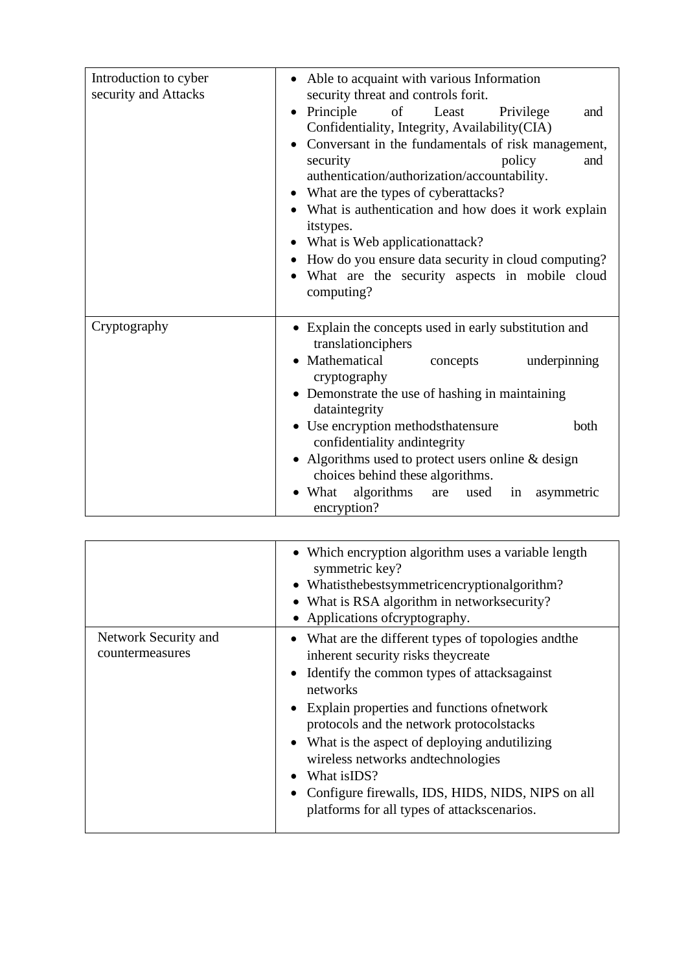| Introduction to cyber<br>security and Attacks | • Able to acquaint with various Information<br>security threat and controls forit.                                                                                                                                                                                                                                                                                                                                                                                                                           |
|-----------------------------------------------|--------------------------------------------------------------------------------------------------------------------------------------------------------------------------------------------------------------------------------------------------------------------------------------------------------------------------------------------------------------------------------------------------------------------------------------------------------------------------------------------------------------|
|                                               | $\bullet$ Principle<br>of Least<br>Privilege<br>and<br>Confidentiality, Integrity, Availability(CIA)<br>Conversant in the fundamentals of risk management,<br>policy<br>security<br>and<br>authentication/authorization/accountability.<br>What are the types of cyberattacks?<br>• What is authentication and how does it work explain<br>itstypes.<br>What is Web applicationattack?<br>How do you ensure data security in cloud computing?<br>What are the security aspects in mobile cloud<br>computing? |
| Cryptography                                  | • Explain the concepts used in early substitution and<br>translationciphers                                                                                                                                                                                                                                                                                                                                                                                                                                  |
|                                               | Mathematical<br>underpinning<br>concepts<br>cryptography                                                                                                                                                                                                                                                                                                                                                                                                                                                     |
|                                               | • Demonstrate the use of hashing in maintaining<br>dataintegrity                                                                                                                                                                                                                                                                                                                                                                                                                                             |
|                                               | • Use encryption methodsthatensure<br>both<br>confidentiality and integrity                                                                                                                                                                                                                                                                                                                                                                                                                                  |
|                                               | • Algorithms used to protect users online $&$ design<br>choices behind these algorithms.                                                                                                                                                                                                                                                                                                                                                                                                                     |
|                                               | What<br>algorithms<br>are<br>used<br>in<br>asymmetric<br>encryption?                                                                                                                                                                                                                                                                                                                                                                                                                                         |

|                                         | • Which encryption algorithm uses a variable length<br>symmetric key?<br>• Whatisthebestsymmetricencryptionalgorithm?<br>• What is RSA algorithm in networks ecurity?<br>• Applications of cryptography.                                                                                                                                                                                                                                                            |
|-----------------------------------------|---------------------------------------------------------------------------------------------------------------------------------------------------------------------------------------------------------------------------------------------------------------------------------------------------------------------------------------------------------------------------------------------------------------------------------------------------------------------|
| Network Security and<br>countermeasures | • What are the different types of topologies and the<br>inherent security risks they create<br>• Identify the common types of attacks against<br>networks<br>• Explain properties and functions of network<br>protocols and the network protocolstacks<br>• What is the aspect of deploying and utilizing<br>wireless networks and technologies<br>What is IDS?<br>Configure firewalls, IDS, HIDS, NIDS, NIPS on all<br>platforms for all types of attackscenarios. |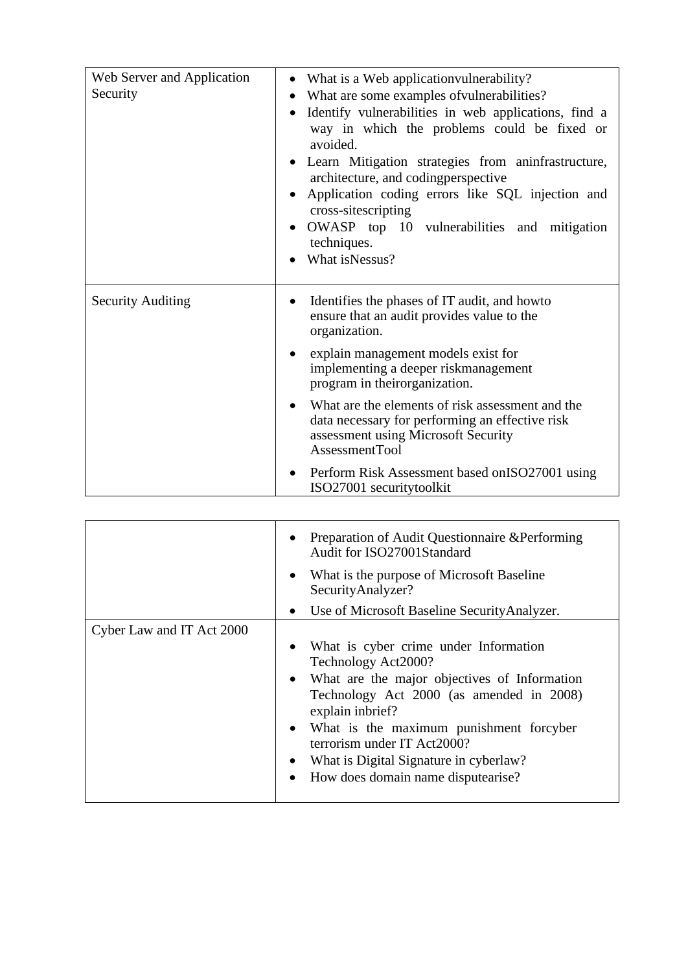| Web Server and Application<br>Security | • What is a Web application vulnerability?<br>What are some examples of vulnerabilities?<br>Identify vulnerabilities in web applications, find a<br>way in which the problems could be fixed or<br>avoided.<br>• Learn Mitigation strategies from aninfrastructure,<br>architecture, and coding perspective<br>Application coding errors like SQL injection and<br>cross-sitescripting<br>OWASP top 10 vulnerabilities and mitigation<br>techniques.<br>What isNessus?       |
|----------------------------------------|------------------------------------------------------------------------------------------------------------------------------------------------------------------------------------------------------------------------------------------------------------------------------------------------------------------------------------------------------------------------------------------------------------------------------------------------------------------------------|
| <b>Security Auditing</b>               | Identifies the phases of IT audit, and how to<br>ensure that an audit provides value to the<br>organization.<br>explain management models exist for<br>implementing a deeper riskmanagement<br>program in theirorganization.<br>What are the elements of risk assessment and the<br>data necessary for performing an effective risk<br>assessment using Microsoft Security<br>AssessmentTool<br>Perform Risk Assessment based on ISO 27001 using<br>ISO27001 securitytoolkit |

|                           | Preparation of Audit Questionnaire & Performing<br>Audit for ISO27001Standard<br>What is the purpose of Microsoft Baseline<br>SecurityAnalyzer?<br>• Use of Microsoft Baseline Security Analyzer.                                                                                                                                                       |
|---------------------------|---------------------------------------------------------------------------------------------------------------------------------------------------------------------------------------------------------------------------------------------------------------------------------------------------------------------------------------------------------|
| Cyber Law and IT Act 2000 | What is cyber crime under Information<br>Technology Act2000?<br>• What are the major objectives of Information<br>Technology Act 2000 (as amended in 2008)<br>explain inbrief?<br>• What is the maximum punishment forcyber<br>terrorism under IT Act2000?<br>What is Digital Signature in cyberlaw?<br>How does domain name disputearise?<br>$\bullet$ |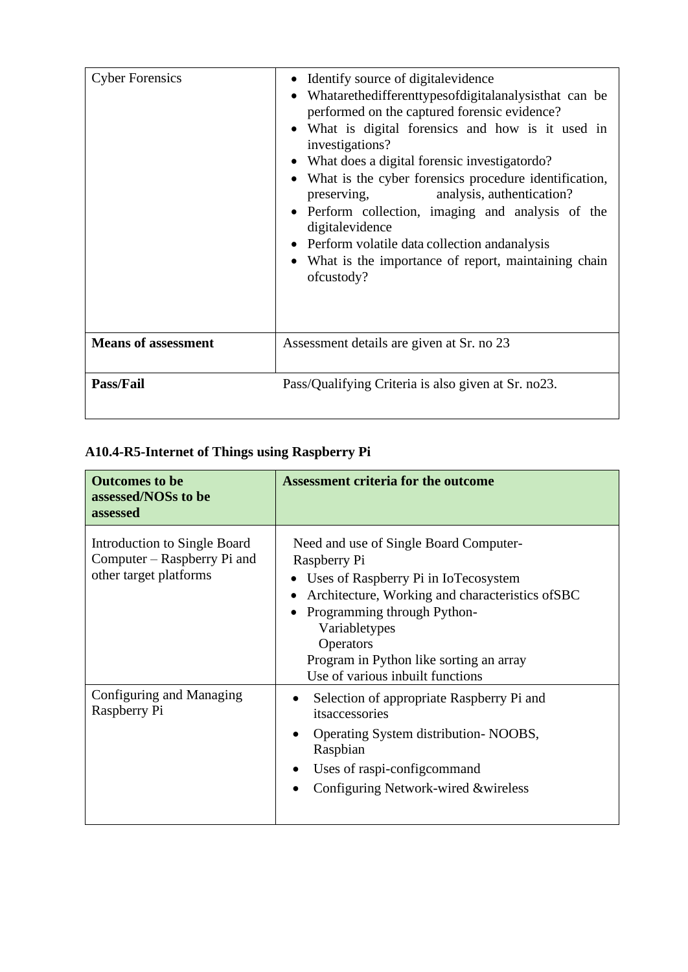| <b>Cyber Forensics</b>     | Identify source of digital evidence<br>Whatarethedifferenttypesofdigitalanalysisthat can be<br>performed on the captured forensic evidence?<br>What is digital forensics and how is it used in<br>investigations?<br>What does a digital forensic investigator do?<br>٠<br>What is the cyber forensics procedure identification,<br>analysis, authentication?<br>preserving,<br>Perform collection, imaging and analysis of the<br>$\bullet$<br>digitalevidence<br>Perform volatile data collection and analysis<br>What is the importance of report, maintaining chain<br>ofcustody? |
|----------------------------|---------------------------------------------------------------------------------------------------------------------------------------------------------------------------------------------------------------------------------------------------------------------------------------------------------------------------------------------------------------------------------------------------------------------------------------------------------------------------------------------------------------------------------------------------------------------------------------|
| <b>Means of assessment</b> | Assessment details are given at Sr. no 23                                                                                                                                                                                                                                                                                                                                                                                                                                                                                                                                             |
| <b>Pass/Fail</b>           | Pass/Qualifying Criteria is also given at Sr. no23.                                                                                                                                                                                                                                                                                                                                                                                                                                                                                                                                   |

# **A10.4-R5-Internet of Things using Raspberry Pi**

| <b>Outcomes to be</b><br>assessed/NOSs to be<br>assessed                              | <b>Assessment criteria for the outcome</b>                                                                                                                                                                                                                                                     |
|---------------------------------------------------------------------------------------|------------------------------------------------------------------------------------------------------------------------------------------------------------------------------------------------------------------------------------------------------------------------------------------------|
| Introduction to Single Board<br>Computer – Raspberry Pi and<br>other target platforms | Need and use of Single Board Computer-<br>Raspberry Pi<br>Uses of Raspberry Pi in IoTecosystem<br>Architecture, Working and characteristics of SBC<br>Programming through Python-<br>Variabletypes<br>Operators<br>Program in Python like sorting an array<br>Use of various inbuilt functions |
| Configuring and Managing<br>Raspberry Pi                                              | Selection of appropriate Raspberry Pi and<br>itsaccessories<br>Operating System distribution-NOOBS,<br>Raspbian<br>Uses of raspi-configcommand<br>Configuring Network-wired &wireless                                                                                                          |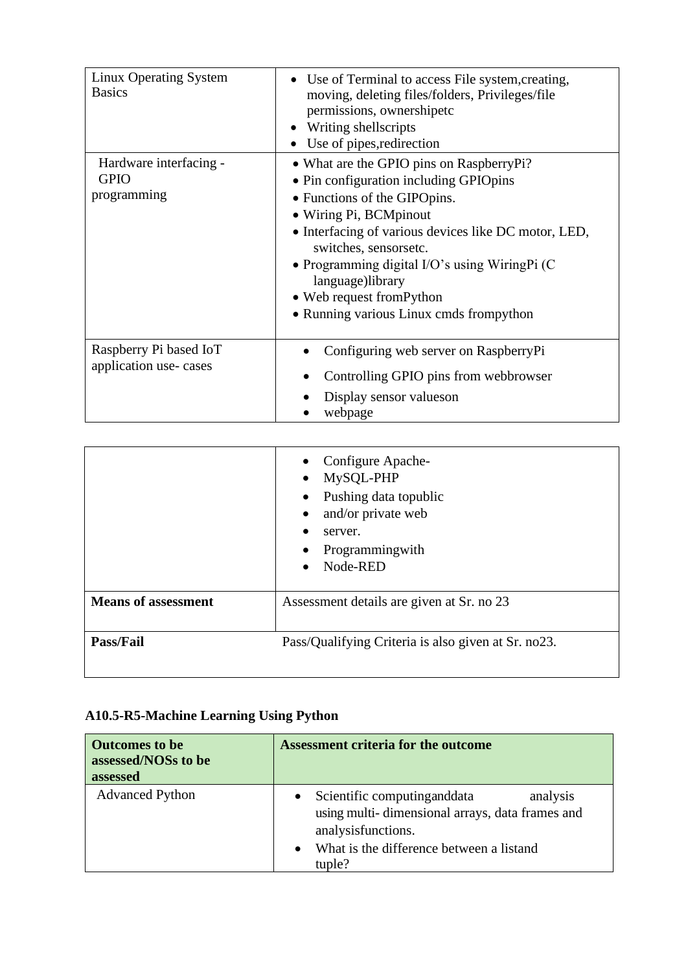| <b>Linux Operating System</b><br><b>Basics</b>       | • Use of Terminal to access File system, creating,<br>moving, deleting files/folders, Privileges/file<br>permissions, ownershipetc<br>Writing shells cripts<br>Use of pipes, redirection                                                                                                                                                                                       |
|------------------------------------------------------|--------------------------------------------------------------------------------------------------------------------------------------------------------------------------------------------------------------------------------------------------------------------------------------------------------------------------------------------------------------------------------|
| Hardware interfacing -<br><b>GPIO</b><br>programming | • What are the GPIO pins on RaspberryPi?<br>• Pin configuration including GPIOpins<br>• Functions of the GIPOpins.<br>• Wiring Pi, BCMpinout<br>• Interfacing of various devices like DC motor, LED,<br>switches, sensorsetc.<br>• Programming digital I/O's using Wiring Pi $(C)$<br>language)library<br>• Web request from Python<br>• Running various Linux cmds frompython |
| Raspberry Pi based IoT<br>application use-cases      | Configuring web server on RaspberryPi<br>Controlling GPIO pins from webbrowser<br>Display sensor values on<br>webpage                                                                                                                                                                                                                                                          |

|                            | Configure Apache-<br>MySQL-PHP<br>$\bullet$<br>Pushing data topublic<br>and/or private web<br>server.<br>Programmingwith<br>Node-RED |
|----------------------------|--------------------------------------------------------------------------------------------------------------------------------------|
| <b>Means of assessment</b> | Assessment details are given at Sr. no 23                                                                                            |
| Pass/Fail                  | Pass/Qualifying Criteria is also given at Sr. no23.                                                                                  |

# **A10.5-R5-Machine Learning Using Python**

| <b>Outcomes to be</b><br>assessed/NOSs to be<br>assessed | <b>Assessment criteria for the outcome</b>                                                                                                                               |
|----------------------------------------------------------|--------------------------------------------------------------------------------------------------------------------------------------------------------------------------|
| <b>Advanced Python</b>                                   | Scientific computing and data<br>analysis<br>using multi-dimensional arrays, data frames and<br>analysisfunctions.<br>What is the difference between a listand<br>tuple? |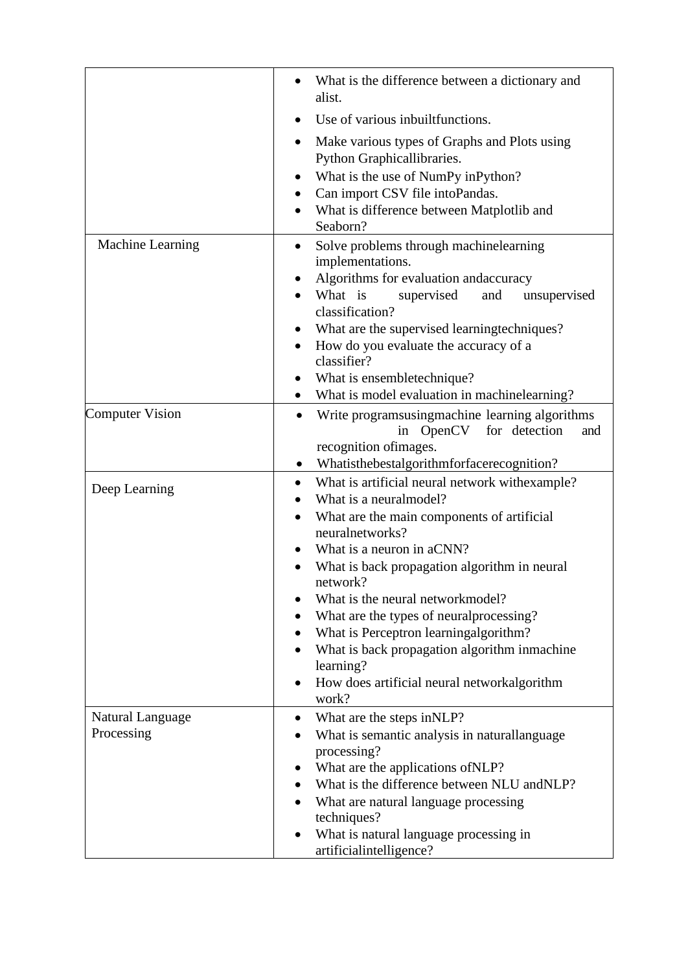|                                | What is the difference between a dictionary and<br>alist.                                                                                                                                                                                                                                                                                                                                                                                                                          |
|--------------------------------|------------------------------------------------------------------------------------------------------------------------------------------------------------------------------------------------------------------------------------------------------------------------------------------------------------------------------------------------------------------------------------------------------------------------------------------------------------------------------------|
|                                | Use of various inbuiltfunctions.                                                                                                                                                                                                                                                                                                                                                                                                                                                   |
|                                | Make various types of Graphs and Plots using<br>$\bullet$<br>Python Graphicallibraries.<br>What is the use of NumPy inPython?<br>Can import CSV file intoPandas.<br>What is difference between Matplotlib and<br>Seaborn?                                                                                                                                                                                                                                                          |
| Machine Learning               | Solve problems through machinelearning<br>implementations.<br>Algorithms for evaluation and accuracy<br>What is<br>supervised<br>and<br>unsupervised<br>classification?<br>What are the supervised learningtechniques?<br>How do you evaluate the accuracy of a<br>$\bullet$<br>classifier?<br>What is ensembletechnique?                                                                                                                                                          |
|                                | What is model evaluation in machinelearning?<br>$\bullet$                                                                                                                                                                                                                                                                                                                                                                                                                          |
| <b>Computer Vision</b>         | Write programsusing machine learning algorithms<br>$\bullet$<br>OpenCV for detection<br>and<br>in<br>recognition ofimages.<br>Whatisthebestalgorithmforfacerecognition?                                                                                                                                                                                                                                                                                                            |
| Deep Learning                  | What is artificial neural network with example?<br>What is a neuralmodel?<br>What are the main components of artificial<br>neuralnetworks?<br>What is a neuron in aCNN?<br>What is back propagation algorithm in neural<br>network?<br>What is the neural network model?<br>What are the types of neural processing?<br>What is Perceptron learningalgorithm?<br>What is back propagation algorithm inmachine<br>learning?<br>How does artificial neural networkalgorithm<br>work? |
| Natural Language<br>Processing | What are the steps in NLP?<br>$\bullet$<br>What is semantic analysis in naturallanguage<br>processing?<br>What are the applications of NLP?<br>What is the difference between NLU and NLP?<br>$\bullet$<br>What are natural language processing<br>techniques?<br>What is natural language processing in<br>artificialintelligence?                                                                                                                                                |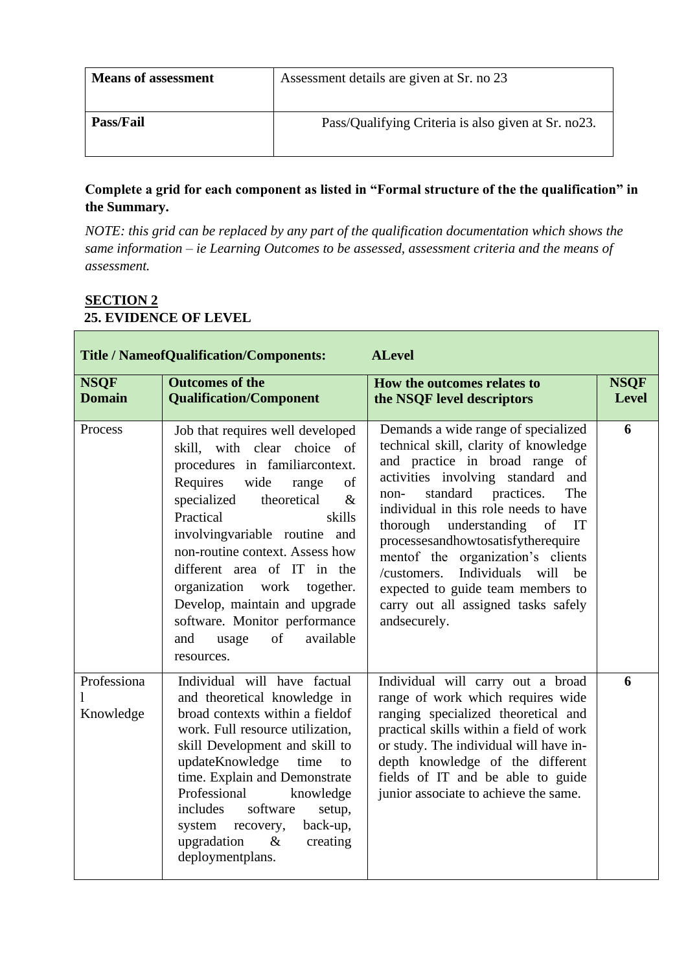| <b>Means of assessment</b> | Assessment details are given at Sr. no 23           |
|----------------------------|-----------------------------------------------------|
| <b>Pass/Fail</b>           | Pass/Qualifying Criteria is also given at Sr. no23. |

**Complete a grid for each component as listed in "Formal structure of the the qualification" in the Summary.** 

*NOTE: this grid can be replaced by any part of the qualification documentation which shows the same information – ie Learning Outcomes to be assessed, assessment criteria and the means of assessment.* 

### **SECTION 2 25. EVIDENCE OF LEVEL**

T.

|                              | <b>Title / NameofQualification/Components:</b>                                                                                                                                                                                                                                                                                                                                                                                                          | <b>ALevel</b>                                                                                                                                                                                                                                                                                                                                                                                                                                                                      |                             |
|------------------------------|---------------------------------------------------------------------------------------------------------------------------------------------------------------------------------------------------------------------------------------------------------------------------------------------------------------------------------------------------------------------------------------------------------------------------------------------------------|------------------------------------------------------------------------------------------------------------------------------------------------------------------------------------------------------------------------------------------------------------------------------------------------------------------------------------------------------------------------------------------------------------------------------------------------------------------------------------|-----------------------------|
| <b>NSQF</b><br><b>Domain</b> | <b>Outcomes of the</b><br><b>Qualification/Component</b>                                                                                                                                                                                                                                                                                                                                                                                                | How the outcomes relates to<br>the NSQF level descriptors                                                                                                                                                                                                                                                                                                                                                                                                                          | <b>NSQF</b><br><b>Level</b> |
| Process                      | Job that requires well developed<br>skill, with clear choice of<br>procedures in familiarcontext.<br>wide<br>Requires<br>of<br>range<br>specialized<br>theoretical<br>$\&$<br>Practical<br>skills<br>involving variable routine and<br>non-routine context. Assess how<br>different area of IT in the<br>organization work together.<br>Develop, maintain and upgrade<br>software. Monitor performance<br>of<br>available<br>and<br>usage<br>resources. | Demands a wide range of specialized<br>technical skill, clarity of knowledge<br>and practice in broad range of<br>activities involving standard and<br>standard<br>practices.<br>The<br>non-<br>individual in this role needs to have<br>thorough understanding of IT<br>processesandhowtosatisfytherequire<br>mentof the organization's clients<br>Individuals will be<br>/customers.<br>expected to guide team members to<br>carry out all assigned tasks safely<br>andsecurely. | 6                           |
| Professiona<br>Knowledge     | Individual will have factual<br>and theoretical knowledge in<br>broad contexts within a fieldof<br>work. Full resource utilization,<br>skill Development and skill to<br>updateKnowledge<br>time<br>to<br>time. Explain and Demonstrate<br>Professional<br>knowledge<br>software<br>includes<br>setup,<br>back-up,<br>system recovery,<br>upgradation<br>$\&$<br>creating<br>deploymentplans.                                                           | Individual will carry out a broad<br>range of work which requires wide<br>ranging specialized theoretical and<br>practical skills within a field of work<br>or study. The individual will have in-<br>depth knowledge of the different<br>fields of IT and be able to guide<br>junior associate to achieve the same.                                                                                                                                                               | 6                           |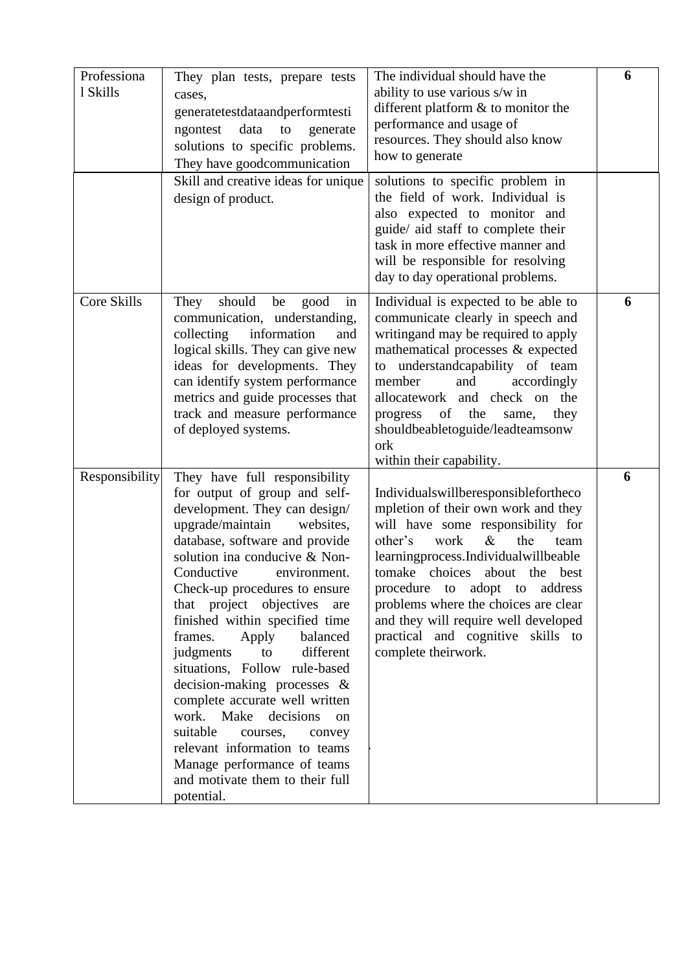| Professiona<br>1 Skills | They plan tests, prepare tests<br>cases,<br>generatetestdataandperformtesti<br>data<br>to<br>ngontest<br>generate<br>solutions to specific problems.<br>They have goodcommunication                                                                                                                                                                                                                                                                                                                                                                                                                                                                                                       | The individual should have the<br>ability to use various s/w in<br>different platform $\&$ to monitor the<br>performance and usage of<br>resources. They should also know<br>how to generate                                                                                                                                                                                                                           | 6 |
|-------------------------|-------------------------------------------------------------------------------------------------------------------------------------------------------------------------------------------------------------------------------------------------------------------------------------------------------------------------------------------------------------------------------------------------------------------------------------------------------------------------------------------------------------------------------------------------------------------------------------------------------------------------------------------------------------------------------------------|------------------------------------------------------------------------------------------------------------------------------------------------------------------------------------------------------------------------------------------------------------------------------------------------------------------------------------------------------------------------------------------------------------------------|---|
|                         | Skill and creative ideas for unique<br>design of product.                                                                                                                                                                                                                                                                                                                                                                                                                                                                                                                                                                                                                                 | solutions to specific problem in<br>the field of work. Individual is<br>also expected to monitor and<br>guide/ aid staff to complete their<br>task in more effective manner and<br>will be responsible for resolving<br>day to day operational problems.                                                                                                                                                               |   |
| <b>Core Skills</b>      | should<br>They<br>be<br>good<br>in<br>communication, understanding,<br>collecting<br>information<br>and<br>logical skills. They can give new<br>ideas for developments. They<br>can identify system performance<br>metrics and guide processes that<br>track and measure performance<br>of deployed systems.                                                                                                                                                                                                                                                                                                                                                                              | Individual is expected to be able to<br>communicate clearly in speech and<br>writing and may be required to apply<br>mathematical processes & expected<br>to understandcapability of team<br>and<br>member<br>accordingly<br>allocatework and check on the<br>of<br>the<br>progress<br>same,<br>they<br>shouldbeabletoguide/leadteamsonw<br>ork<br>within their capability.                                            | 6 |
| Responsibility          | They have full responsibility<br>for output of group and self-<br>development. They can design/<br>upgrade/maintain<br>websites,<br>database, software and provide<br>solution ina conducive & Non-<br>Conductive<br>environment.<br>Check-up procedures to ensure<br>that project objectives are<br>finished within specified time<br>balanced<br>frames.<br>Apply<br>different<br>judgments<br>to<br>situations, Follow rule-based<br>decision-making processes &<br>complete accurate well written<br>work. Make<br>decisions<br>on<br>suitable<br>courses,<br>convey<br>relevant information to teams<br>Manage performance of teams<br>and motivate them to their full<br>potential. | Individualswillberesponsiblefortheco<br>mpletion of their own work and they<br>will have some responsibility for<br>$\&$<br>work<br>the<br>other's<br>team<br>learningprocess.Individualwillbeable<br>tomake choices<br>about<br>the best<br>procedure to adopt to address<br>problems where the choices are clear<br>and they will require well developed<br>practical and cognitive skills to<br>complete theirwork. | 6 |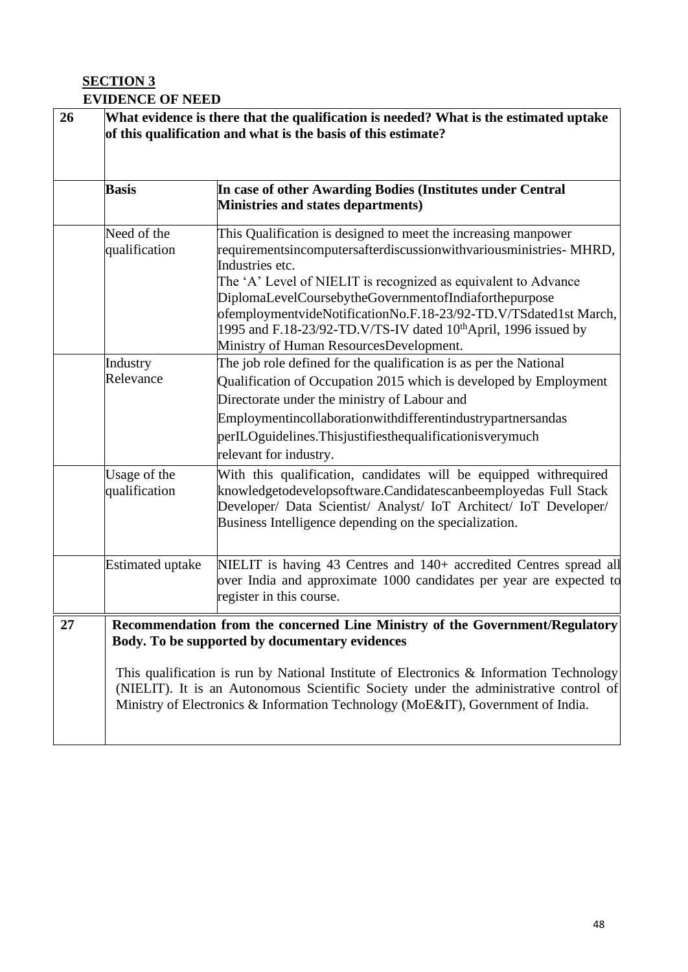### **SECTION 3 EVIDENCE OF NEED**

| 26 |                               | What evidence is there that the qualification is needed? What is the estimated uptake<br>of this qualification and what is the basis of this estimate?                                                                                                                                                                                                                                                                                                                 |
|----|-------------------------------|------------------------------------------------------------------------------------------------------------------------------------------------------------------------------------------------------------------------------------------------------------------------------------------------------------------------------------------------------------------------------------------------------------------------------------------------------------------------|
|    | <b>Basis</b>                  | In case of other Awarding Bodies (Institutes under Central<br>Ministries and states departments)                                                                                                                                                                                                                                                                                                                                                                       |
|    | Need of the<br>qualification  | This Qualification is designed to meet the increasing manpower<br>requirementsincomputersafterdiscussionwithvariousministries-MHRD,<br>Industries etc.<br>The 'A' Level of NIELIT is recognized as equivalent to Advance<br>DiplomaLevelCoursebytheGovernmentofIndiaforthepurpose<br>ofemploymentvideNotificationNo.F.18-23/92-TD.V/TSdated1st March,                                                                                                                  |
|    | Industry<br>Relevance         | 1995 and F.18-23/92-TD.V/TS-IV dated 10 <sup>th</sup> April, 1996 issued by<br>Ministry of Human ResourcesDevelopment.<br>The job role defined for the qualification is as per the National<br>Qualification of Occupation 2015 which is developed by Employment<br>Directorate under the ministry of Labour and<br>Employmentincollaborationwithdifferentindustrypartnersandas<br>perILOguidelines. Thisjustifiesthequalificationisverymuch<br>relevant for industry. |
|    | Usage of the<br>qualification | With this qualification, candidates will be equipped withrequired<br>knowledgetodevelopsoftware.Candidatescanbeemployedas Full Stack<br>Developer/ Data Scientist/ Analyst/ IoT Architect/ IoT Developer/<br>Business Intelligence depending on the specialization.                                                                                                                                                                                                    |
|    | <b>Estimated uptake</b>       | NIELIT is having 43 Centres and 140+ accredited Centres spread all<br>over India and approximate 1000 candidates per year are expected to<br>register in this course.                                                                                                                                                                                                                                                                                                  |
| 27 |                               | Recommendation from the concerned Line Ministry of the Government/Regulatory<br>Body. To be supported by documentary evidences<br>This qualification is run by National Institute of Electronics & Information Technology<br>(NIELIT). It is an Autonomous Scientific Society under the administrative control of<br>Ministry of Electronics & Information Technology (MoE&IT), Government of India.                                                                   |